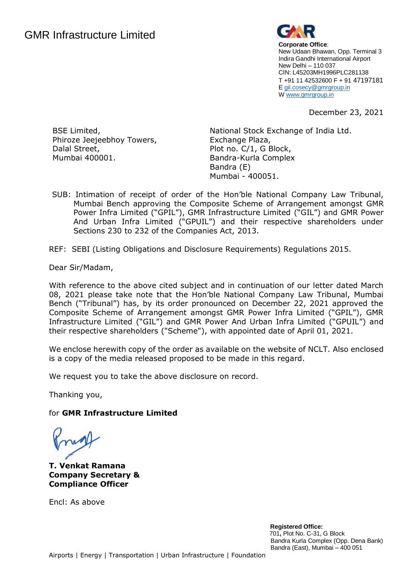

**Corporate Office**: New Udaan Bhawan, Opp. Terminal 3 Indira Gandhi International Airport New Delhi – 110 037 CIN: L45203MH1996PLC281138 T +91 11 42532600 F + 91 47197181 E [gil.cosecy@gmrgroup.in](mailto:gil.cosecy@gmrgroup.in) [W www.gmrgroup.in](http://www.gmrgroup.in/) 

December 23, 2021

BSE Limited, Phiroze Jeejeebhoy Towers, Dalal Street, Mumbai 400001.

National Stock Exchange of India Ltd. Exchange Plaza, Plot no. C/1, G Block, Bandra-Kurla Complex Bandra (E) Mumbai - 400051.

SUB: Intimation of receipt of order of the Hon'ble National Company Law Tribunal, Mumbai Bench approving the Composite Scheme of Arrangement amongst GMR Power Infra Limited ("GPIL"), GMR Infrastructure Limited ("GIL") and GMR Power And Urban Infra Limited ("GPUIL") and their respective shareholders under Sections 230 to 232 of the Companies Act, 2013.

REF: SEBI (Listing Obligations and Disclosure Requirements) Regulations 2015.

Dear Sir/Madam,

With reference to the above cited subject and in continuation of our letter dated March 08, 2021 please take note that the Hon'ble National Company Law Tribunal, Mumbai Bench ("Tribunal") has, by its order pronounced on December 22, 2021 approved the Composite Scheme of Arrangement amongst GMR Power Infra Limited ("GPIL"), GMR Infrastructure Limited ("GIL") and GMR Power And Urban Infra Limited ("GPUIL") and their respective shareholders ("Scheme"), with appointed date of April 01, 2021.

We enclose herewith copy of the order as available on the website of NCLT. Also enclosed is a copy of the media released proposed to be made in this regard.

We request you to take the above disclosure on record.

Thanking you,

## for **GMR Infrastructure Limited**

**T. Venkat Ramana Company Secretary & Compliance Officer**

Encl: As above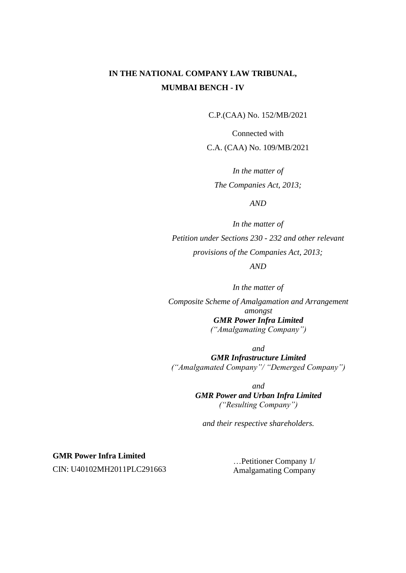C.P.(CAA) No. 152/MB/2021

Connected with C.A. (CAA) No. 109/MB/2021

*In the matter of The Companies Act, 2013;*

*AND*

*In the matter of Petition under Sections 230 - 232 and other relevant provisions of the Companies Act, 2013; AND*

*In the matter of Composite Scheme of Amalgamation and Arrangement amongst GMR Power Infra Limited ("Amalgamating Company")*

*and GMR Infrastructure Limited ("Amalgamated Company"/ "Demerged Company")*

> *and GMR Power and Urban Infra Limited ("Resulting Company")*

*and their respective shareholders.*

**GMR Power Infra Limited**  CIN: U40102MH2011PLC291663

…Petitioner Company 1/ Amalgamating Company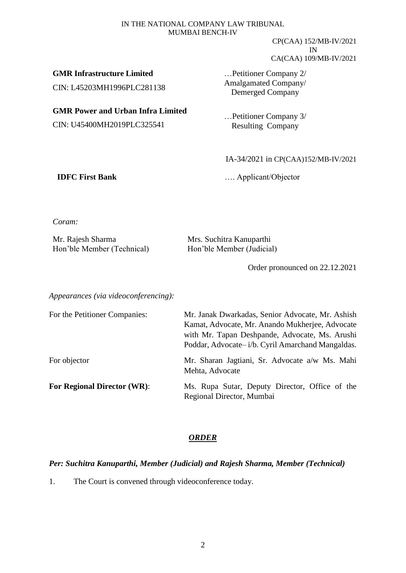CP(CAA) 152/MB-IV/2021 IN CA(CAA) 109/MB-IV/2021

**GMR Infrastructure Limited**  CIN: L45203MH1996PLC281138

**GMR Power and Urban Infra Limited**  CIN: U45400MH2019PLC325541

…Petitioner Company 2/ Amalgamated Company/ Demerged Company

…Petitioner Company 3/ Resulting Company

IA-34/2021 in CP(CAA)152/MB-IV/2021

**IDFC First Bank** …. Applicant/Objector

*Coram:*

| Mr. Rajesh Sharma          | Mrs. Suchitra Kanuparthi  |
|----------------------------|---------------------------|
| Hon'ble Member (Technical) | Hon'ble Member (Judicial) |

Order pronounced on 22.12.2021

*Appearances (via videoconferencing):*

| For the Petitioner Companies:      | Mr. Janak Dwarkadas, Senior Advocate, Mr. Ashish<br>Kamat, Advocate, Mr. Anando Mukherjee, Advocate<br>with Mr. Tapan Deshpande, Advocate, Ms. Arushi<br>Poddar, Advocate-i/b. Cyril Amarchand Mangaldas. |  |
|------------------------------------|-----------------------------------------------------------------------------------------------------------------------------------------------------------------------------------------------------------|--|
| For objector                       | Mr. Sharan Jagtiani, Sr. Advocate a/w Ms. Mahi<br>Mehta, Advocate                                                                                                                                         |  |
| <b>For Regional Director (WR):</b> | Ms. Rupa Sutar, Deputy Director, Office of the<br>Regional Director, Mumbai                                                                                                                               |  |

## *ORDER*

## *Per: Suchitra Kanuparthi, Member (Judicial) and Rajesh Sharma, Member (Technical)*

1. The Court is convened through videoconference today.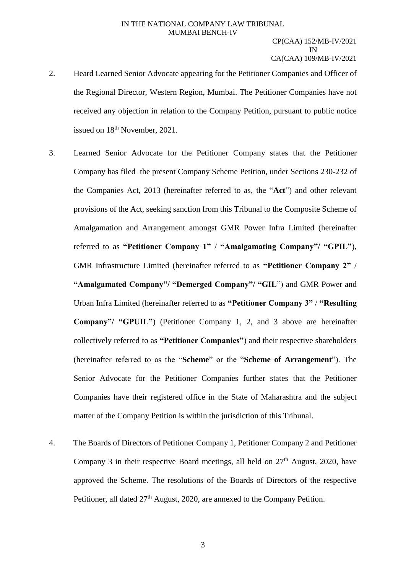- 2. Heard Learned Senior Advocate appearing for the Petitioner Companies and Officer of the Regional Director, Western Region, Mumbai. The Petitioner Companies have not received any objection in relation to the Company Petition, pursuant to public notice issued on  $18<sup>th</sup>$  November, 2021.
- 3. Learned Senior Advocate for the Petitioner Company states that the Petitioner Company has filed the present Company Scheme Petition, under Sections 230-232 of the Companies Act, 2013 (hereinafter referred to as, the "**Act**") and other relevant provisions of the Act, seeking sanction from this Tribunal to the Composite Scheme of Amalgamation and Arrangement amongst GMR Power Infra Limited (hereinafter referred to as **"Petitioner Company 1"** / **"Amalgamating Company"/ "GPIL"**), GMR Infrastructure Limited (hereinafter referred to as **"Petitioner Company 2"** / **"Amalgamated Company"/ "Demerged Company"/ "GIL**") and GMR Power and Urban Infra Limited (hereinafter referred to as **"Petitioner Company 3"** / **"Resulting Company"/ "GPUIL"**) (Petitioner Company 1, 2, and 3 above are hereinafter collectively referred to as **"Petitioner Companies"**) and their respective shareholders (hereinafter referred to as the "**Scheme**" or the "**Scheme of Arrangement**"). The Senior Advocate for the Petitioner Companies further states that the Petitioner Companies have their registered office in the State of Maharashtra and the subject matter of the Company Petition is within the jurisdiction of this Tribunal.
- 4. The Boards of Directors of Petitioner Company 1, Petitioner Company 2 and Petitioner Company 3 in their respective Board meetings, all held on  $27<sup>th</sup>$  August, 2020, have approved the Scheme. The resolutions of the Boards of Directors of the respective Petitioner, all dated 27<sup>th</sup> August, 2020, are annexed to the Company Petition.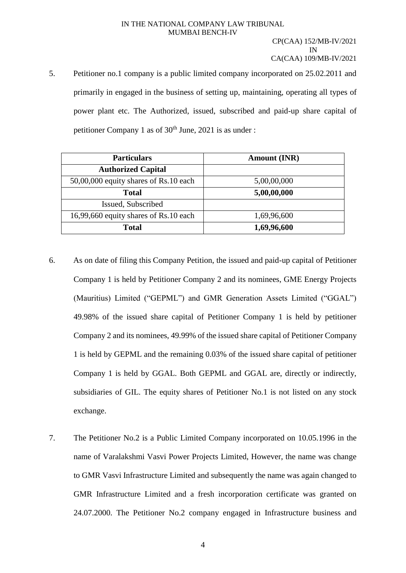5. Petitioner no.1 company is a public limited company incorporated on 25.02.2011 and primarily in engaged in the business of setting up, maintaining, operating all types of power plant etc. The Authorized, issued, subscribed and paid-up share capital of petitioner Company 1 as of  $30<sup>th</sup>$  June, 2021 is as under :

| <b>Particulars</b>                    | <b>Amount (INR)</b> |  |  |
|---------------------------------------|---------------------|--|--|
| <b>Authorized Capital</b>             |                     |  |  |
| 50,00,000 equity shares of Rs.10 each | 5,00,00,000         |  |  |
| Total                                 | 5,00,00,000         |  |  |
| Issued, Subscribed                    |                     |  |  |
| 16,99,660 equity shares of Rs.10 each | 1,69,96,600         |  |  |
| <b>Total</b>                          | 1,69,96,600         |  |  |

- 6. As on date of filing this Company Petition, the issued and paid-up capital of Petitioner Company 1 is held by Petitioner Company 2 and its nominees, GME Energy Projects (Mauritius) Limited ("GEPML") and GMR Generation Assets Limited ("GGAL") 49.98% of the issued share capital of Petitioner Company 1 is held by petitioner Company 2 and its nominees, 49.99% of the issued share capital of Petitioner Company 1 is held by GEPML and the remaining 0.03% of the issued share capital of petitioner Company 1 is held by GGAL. Both GEPML and GGAL are, directly or indirectly, subsidiaries of GIL. The equity shares of Petitioner No.1 is not listed on any stock exchange.
- 7. The Petitioner No.2 is a Public Limited Company incorporated on 10.05.1996 in the name of Varalakshmi Vasvi Power Projects Limited, However, the name was change to GMR Vasvi Infrastructure Limited and subsequently the name was again changed to GMR Infrastructure Limited and a fresh incorporation certificate was granted on 24.07.2000. The Petitioner No.2 company engaged in Infrastructure business and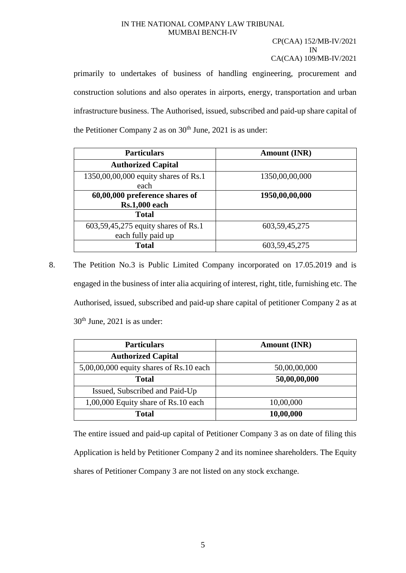#### CP(CAA) 152/MB-IV/2021 IN CA(CAA) 109/MB-IV/2021

primarily to undertakes of business of handling engineering, procurement and construction solutions and also operates in airports, energy, transportation and urban infrastructure business. The Authorised, issued, subscribed and paid-up share capital of the Petitioner Company 2 as on  $30<sup>th</sup>$  June, 2021 is as under:

| <b>Particulars</b>                   | <b>Amount (INR)</b> |
|--------------------------------------|---------------------|
| <b>Authorized Capital</b>            |                     |
| 1350,00,00,000 equity shares of Rs.1 | 1350,00,00,000      |
| each                                 |                     |
| 60,00,000 preference shares of       | 1950,00,00,000      |
| <b>Rs.1,000 each</b>                 |                     |
| <b>Total</b>                         |                     |
| 603,59,45,275 equity shares of Rs.1  | 603, 59, 45, 275    |
| each fully paid up                   |                     |
| <b>Total</b>                         | 603, 59, 45, 275    |

8. The Petition No.3 is Public Limited Company incorporated on 17.05.2019 and is engaged in the business of inter alia acquiring of interest, right, title, furnishing etc. The Authorised, issued, subscribed and paid-up share capital of petitioner Company 2 as at  $30<sup>th</sup>$  June, 2021 is as under:

| <b>Particulars</b>                        | <b>Amount (INR)</b> |  |
|-------------------------------------------|---------------------|--|
| <b>Authorized Capital</b>                 |                     |  |
| $5,00,00,000$ equity shares of Rs.10 each | 50,00,00,000        |  |
| <b>Total</b>                              | 50,00,00,000        |  |
| Issued, Subscribed and Paid-Up            |                     |  |
| 1,00,000 Equity share of Rs.10 each       | 10,00,000           |  |
| <b>Total</b>                              | 10,00,000           |  |

The entire issued and paid-up capital of Petitioner Company 3 as on date of filing this Application is held by Petitioner Company 2 and its nominee shareholders. The Equity shares of Petitioner Company 3 are not listed on any stock exchange.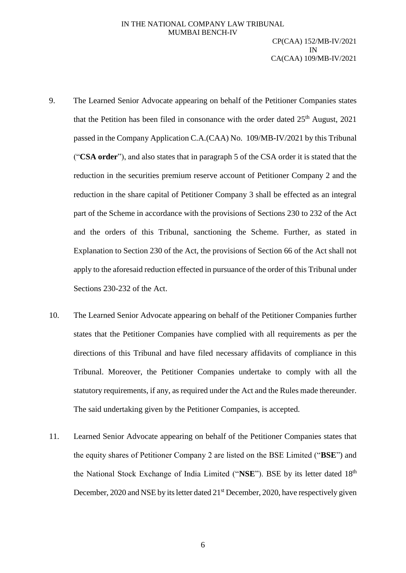- 9. The Learned Senior Advocate appearing on behalf of the Petitioner Companies states that the Petition has been filed in consonance with the order dated  $25<sup>th</sup>$  August, 2021 passed in the Company Application C.A.(CAA) No. 109/MB-IV/2021 by this Tribunal ("**CSA order**"), and also states that in paragraph 5 of the CSA order it is stated that the reduction in the securities premium reserve account of Petitioner Company 2 and the reduction in the share capital of Petitioner Company 3 shall be effected as an integral part of the Scheme in accordance with the provisions of Sections 230 to 232 of the Act and the orders of this Tribunal, sanctioning the Scheme. Further, as stated in Explanation to Section 230 of the Act, the provisions of Section 66 of the Act shall not apply to the aforesaid reduction effected in pursuance of the order of this Tribunal under Sections 230-232 of the Act.
- 10. The Learned Senior Advocate appearing on behalf of the Petitioner Companies further states that the Petitioner Companies have complied with all requirements as per the directions of this Tribunal and have filed necessary affidavits of compliance in this Tribunal. Moreover, the Petitioner Companies undertake to comply with all the statutory requirements, if any, as required under the Act and the Rules made thereunder. The said undertaking given by the Petitioner Companies, is accepted.
- 11. Learned Senior Advocate appearing on behalf of the Petitioner Companies states that the equity shares of Petitioner Company 2 are listed on the BSE Limited ("**BSE**") and the National Stock Exchange of India Limited ("NSE"). BSE by its letter dated 18<sup>th</sup> December, 2020 and NSE by its letter dated 21<sup>st</sup> December, 2020, have respectively given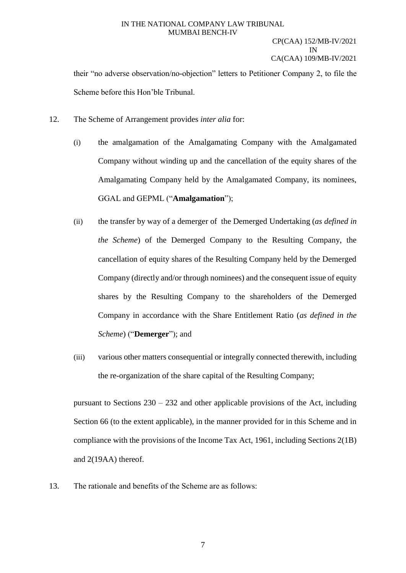## CP(CAA) 152/MB-IV/2021 IN CA(CAA) 109/MB-IV/2021

their "no adverse observation/no-objection" letters to Petitioner Company 2, to file the Scheme before this Hon'ble Tribunal.

- 12. The Scheme of Arrangement provides *inter alia* for:
	- (i) the amalgamation of the Amalgamating Company with the Amalgamated Company without winding up and the cancellation of the equity shares of the Amalgamating Company held by the Amalgamated Company, its nominees, GGAL and GEPML ("**Amalgamation**");
	- (ii) the transfer by way of a demerger of the Demerged Undertaking (*as defined in the Scheme*) of the Demerged Company to the Resulting Company, the cancellation of equity shares of the Resulting Company held by the Demerged Company (directly and/or through nominees) and the consequent issue of equity shares by the Resulting Company to the shareholders of the Demerged Company in accordance with the Share Entitlement Ratio (*as defined in the Scheme*) ("**Demerger**"); and
	- (iii) various other matters consequential or integrally connected therewith, including the re-organization of the share capital of the Resulting Company;

pursuant to Sections 230 – 232 and other applicable provisions of the Act, including Section 66 (to the extent applicable), in the manner provided for in this Scheme and in compliance with the provisions of the Income Tax Act, 1961, including Sections 2(1B) and 2(19AA) thereof.

13. The rationale and benefits of the Scheme are as follows: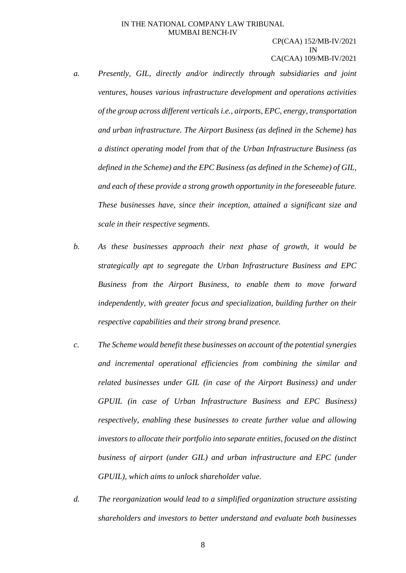- *a. Presently, GIL, directly and/or indirectly through subsidiaries and joint ventures, houses various infrastructure development and operations activities of the group across different verticals i.e., airports, EPC, energy, transportation and urban infrastructure. The Airport Business (as defined in the Scheme) has a distinct operating model from that of the Urban Infrastructure Business (as defined in the Scheme) and the EPC Business (as defined in the Scheme) of GIL, and each of these provide a strong growth opportunity in the foreseeable future. These businesses have, since their inception, attained a significant size and scale in their respective segments.*
- *b. As these businesses approach their next phase of growth, it would be strategically apt to segregate the Urban Infrastructure Business and EPC Business from the Airport Business, to enable them to move forward independently, with greater focus and specialization, building further on their respective capabilities and their strong brand presence.*
- *c. The Scheme would benefit these businesses on account of the potential synergies and incremental operational efficiencies from combining the similar and related businesses under GIL (in case of the Airport Business) and under GPUIL (in case of Urban Infrastructure Business and EPC Business) respectively, enabling these businesses to create further value and allowing investors to allocate their portfolio into separate entities, focused on the distinct business of airport (under GIL) and urban infrastructure and EPC (under GPUIL), which aims to unlock shareholder value.*
- *d. The reorganization would lead to a simplified organization structure assisting shareholders and investors to better understand and evaluate both businesses*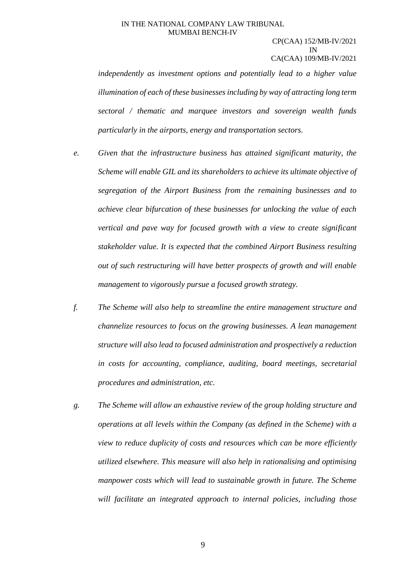#### CP(CAA) 152/MB-IV/2021 IN CA(CAA) 109/MB-IV/2021

*independently as investment options and potentially lead to a higher value illumination of each of these businesses including by way of attracting long term sectoral / thematic and marquee investors and sovereign wealth funds particularly in the airports, energy and transportation sectors.* 

- *e. Given that the infrastructure business has attained significant maturity, the Scheme will enable GIL and its shareholders to achieve its ultimate objective of segregation of the Airport Business from the remaining businesses and to achieve clear bifurcation of these businesses for unlocking the value of each vertical and pave way for focused growth with a view to create significant stakeholder value. It is expected that the combined Airport Business resulting out of such restructuring will have better prospects of growth and will enable management to vigorously pursue a focused growth strategy.*
- *f. The Scheme will also help to streamline the entire management structure and channelize resources to focus on the growing businesses. A lean management structure will also lead to focused administration and prospectively a reduction in costs for accounting, compliance, auditing, board meetings, secretarial procedures and administration, etc.*
- *g. The Scheme will allow an exhaustive review of the group holding structure and operations at all levels within the Company (as defined in the Scheme) with a view to reduce duplicity of costs and resources which can be more efficiently utilized elsewhere. This measure will also help in rationalising and optimising manpower costs which will lead to sustainable growth in future. The Scheme will facilitate an integrated approach to internal policies, including those*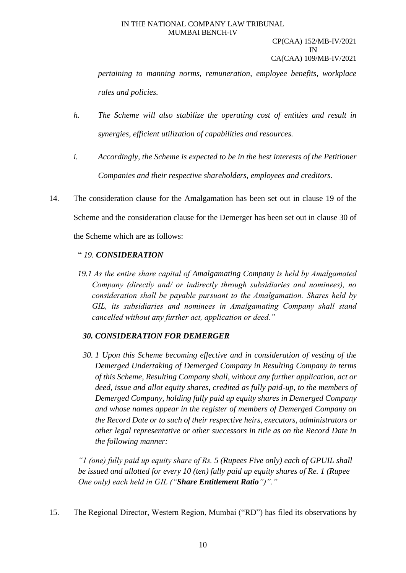#### CP(CAA) 152/MB-IV/2021 IN CA(CAA) 109/MB-IV/2021

*pertaining to manning norms, remuneration, employee benefits, workplace rules and policies.*

- *h. The Scheme will also stabilize the operating cost of entities and result in synergies, efficient utilization of capabilities and resources.*
- *i. Accordingly, the Scheme is expected to be in the best interests of the Petitioner Companies and their respective shareholders, employees and creditors.*
- 14. The consideration clause for the Amalgamation has been set out in clause 19 of the Scheme and the consideration clause for the Demerger has been set out in clause 30 of the Scheme which are as follows:

# " *19. CONSIDERATION*

*19.1 As the entire share capital of Amalgamating Company is held by Amalgamated Company (directly and/ or indirectly through subsidiaries and nominees), no consideration shall be payable pursuant to the Amalgamation. Shares held by GIL, its subsidiaries and nominees in Amalgamating Company shall stand cancelled without any further act, application or deed."*

# *30. CONSIDERATION FOR DEMERGER*

*30. 1 Upon this Scheme becoming effective and in consideration of vesting of the Demerged Undertaking of Demerged Company in Resulting Company in terms of this Scheme, Resulting Company shall, without any further application, act or deed, issue and allot equity shares, credited as fully paid-up, to the members of Demerged Company, holding fully paid up equity shares in Demerged Company and whose names appear in the register of members of Demerged Company on the Record Date or to such of their respective heirs, executors, administrators or other legal representative or other successors in title as on the Record Date in the following manner:*

*"1 (one) fully paid up equity share of Rs. 5 (Rupees Five only) each of GPUIL shall be issued and allotted for every 10 (ten) fully paid up equity shares of Re. 1 (Rupee One only) each held in GIL ("Share Entitlement Ratio")"."*

15. The Regional Director, Western Region, Mumbai ("RD") has filed its observations by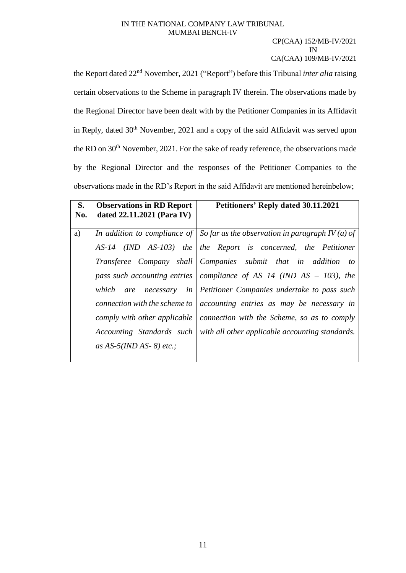#### CP(CAA) 152/MB-IV/2021 IN CA(CAA) 109/MB-IV/2021

the Report dated 22nd November, 2021 ("Report") before this Tribunal *inter alia* raising certain observations to the Scheme in paragraph IV therein. The observations made by the Regional Director have been dealt with by the Petitioner Companies in its Affidavit in Reply, dated  $30<sup>th</sup>$  November, 2021 and a copy of the said Affidavit was served upon the RD on 30<sup>th</sup> November, 2021. For the sake of ready reference, the observations made by the Regional Director and the responses of the Petitioner Companies to the observations made in the RD's Report in the said Affidavit are mentioned hereinbelow;

| S.<br>No. | <b>Observations in RD Report</b><br>dated 22.11.2021 (Para IV) | <b>Petitioners' Reply dated 30.11.2021</b>                                           |  |  |  |
|-----------|----------------------------------------------------------------|--------------------------------------------------------------------------------------|--|--|--|
| a)        |                                                                | In addition to compliance of $\mid$ So far as the observation in paragraph IV (a) of |  |  |  |
|           |                                                                | AS-14 (IND AS-103) the the Report is concerned, the Petitioner                       |  |  |  |
|           |                                                                | Transferee Company shall Companies submit that in addition to                        |  |  |  |
|           |                                                                | pass such accounting entries   compliance of AS 14 (IND $AS - 103$ ), the            |  |  |  |
|           | which<br>are necessary                                         | in Petitioner Companies undertake to pass such                                       |  |  |  |
|           | connection with the scheme to                                  | accounting entries as may be necessary in                                            |  |  |  |
|           |                                                                | comply with other applicable   connection with the Scheme, so as to comply           |  |  |  |
|           | Accounting Standards such                                      | with all other applicable accounting standards.                                      |  |  |  |
|           | as AS-5(IND AS- 8) etc.;                                       |                                                                                      |  |  |  |
|           |                                                                |                                                                                      |  |  |  |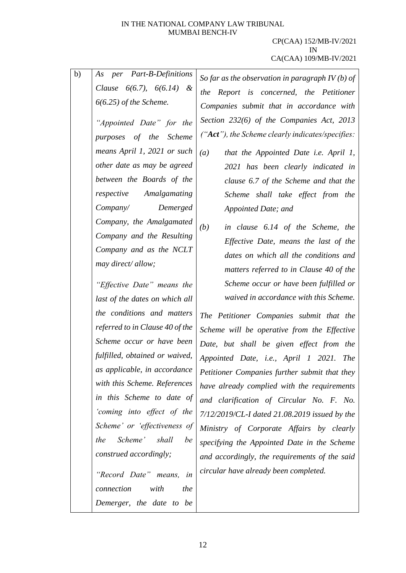| b) | As per Part-B-Definitions       | So far as the observation in paragraph $IV(b)$ of |
|----|---------------------------------|---------------------------------------------------|
|    | Clause $6(6.7)$ , $6(6.14)$ &   | the Report is concerned, the Petitioner           |
|    | $6(6.25)$ of the Scheme.        | Companies submit that in accordance with          |
|    | "Appointed Date" for the        | Section 232(6) of the Companies Act, 2013         |
|    | purposes of the Scheme          | ("Act"), the Scheme clearly indicates/specifies:  |
|    | means April 1, 2021 or such     | (a)<br>that the Appointed Date i.e. April 1,      |
|    | other date as may be agreed     | 2021 has been clearly indicated in                |
|    | between the Boards of the       | clause 6.7 of the Scheme and that the             |
|    | respective<br>Amalgamating      | Scheme shall take effect from the                 |
|    | Company/ Demerged               | Appointed Date; and                               |
|    | Company, the Amalgamated        |                                                   |
|    | Company and the Resulting       | (b)<br>in clause 6.14 of the Scheme, the          |
|    | Company and as the NCLT         | Effective Date, means the last of the             |
|    | may direct/allow;               | dates on which all the conditions and             |
|    |                                 | matters referred to in Clause 40 of the           |
|    | "Effective Date" means the      | Scheme occur or have been fulfilled or            |
|    | last of the dates on which all  | waived in accordance with this Scheme.            |
|    | the conditions and matters      | The Petitioner Companies submit that the          |
|    | referred to in Clause 40 of the | Scheme will be operative from the Effective       |
|    | Scheme occur or have been       | Date, but shall be given effect from the          |
|    | fulfilled, obtained or waived,  | Appointed Date, i.e., April 1 2021. The           |
|    | as applicable, in accordance    | Petitioner Companies further submit that they     |
|    | with this Scheme. References    | have already complied with the requirements       |
|    | in this Scheme to date of       | and clarification of Circular No. F. No.          |
|    | 'coming into effect of the      | 7/12/2019/CL-I dated 21.08.2019 issued by the     |
|    | Scheme' or 'effectiveness of    | Ministry of Corporate Affairs by clearly          |
|    | Scheme'<br>the<br>shall<br>be   | specifying the Appointed Date in the Scheme       |
|    | construed accordingly;          | and accordingly, the requirements of the said     |
|    | "Record Date" means,<br>in      | circular have already been completed.             |
|    | with<br>the<br>connection       |                                                   |
|    | Demerger, the date to be        |                                                   |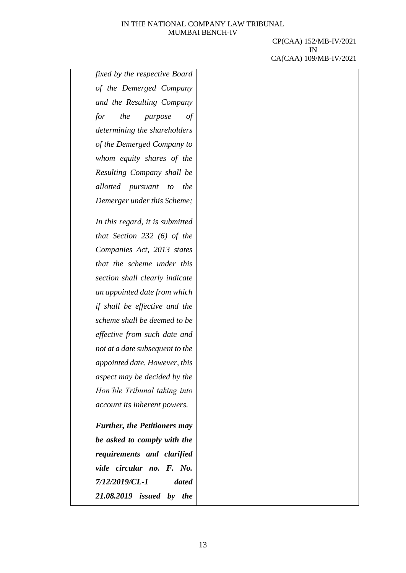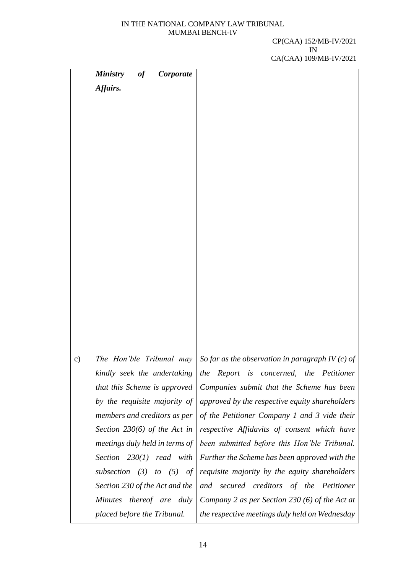|               | <b>Ministry</b><br>Corporate<br>of |                                                     |
|---------------|------------------------------------|-----------------------------------------------------|
|               | Affairs.                           |                                                     |
|               |                                    |                                                     |
|               |                                    |                                                     |
|               |                                    |                                                     |
|               |                                    |                                                     |
|               |                                    |                                                     |
|               |                                    |                                                     |
|               |                                    |                                                     |
|               |                                    |                                                     |
|               |                                    |                                                     |
|               |                                    |                                                     |
|               |                                    |                                                     |
|               |                                    |                                                     |
|               |                                    |                                                     |
|               |                                    |                                                     |
|               |                                    |                                                     |
|               |                                    |                                                     |
|               |                                    |                                                     |
|               |                                    |                                                     |
|               |                                    |                                                     |
| $\mathbf{c})$ | The Hon'ble Tribunal may           | So far as the observation in paragraph IV $(c)$ of  |
|               | kindly seek the undertaking        | the<br>Report<br>is<br>concerned,<br>the Petitioner |
|               | that this Scheme is approved       | Companies submit that the Scheme has been           |
|               | by the requisite majority of       | approved by the respective equity shareholders      |
|               | members and creditors as per       | of the Petitioner Company 1 and 3 vide their        |
|               | Section $230(6)$ of the Act in     | respective Affidavits of consent which have         |
|               | meetings duly held in terms of     | been submitted before this Hon'ble Tribunal.        |
|               | Section $230(1)$ read with         | Further the Scheme has been approved with the       |
|               | subsection $(3)$<br>to $(5)$<br>of | requisite majority by the equity shareholders       |
|               | Section 230 of the Act and the     | and secured creditors of the Petitioner             |
|               | Minutes thereof are duly           | Company 2 as per Section 230 (6) of the Act at      |
|               | placed before the Tribunal.        | the respective meetings duly held on Wednesday      |
|               |                                    |                                                     |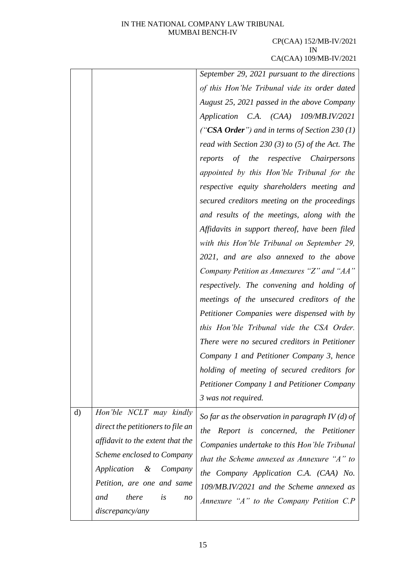|              |                                      | September 29, 2021 pursuant to the directions      |
|--------------|--------------------------------------|----------------------------------------------------|
|              |                                      | of this Hon'ble Tribunal vide its order dated      |
|              |                                      | August 25, 2021 passed in the above Company        |
|              |                                      | Application C.A. (CAA) 109/MB.IV/2021              |
|              |                                      | ("CSA Order") and in terms of Section 230 (1)      |
|              |                                      | read with Section 230 (3) to (5) of the Act. The   |
|              |                                      | reports of the respective Chairpersons             |
|              |                                      | appointed by this Hon'ble Tribunal for the         |
|              |                                      | respective equity shareholders meeting and         |
|              |                                      | secured creditors meeting on the proceedings       |
|              |                                      | and results of the meetings, along with the        |
|              |                                      | Affidavits in support thereof, have been filed     |
|              |                                      | with this Hon'ble Tribunal on September 29,        |
|              |                                      | 2021, and are also annexed to the above            |
|              |                                      | Company Petition as Annexures "Z" and "AA"         |
|              |                                      | respectively. The convening and holding of         |
|              |                                      | meetings of the unsecured creditors of the         |
|              |                                      | Petitioner Companies were dispensed with by        |
|              |                                      | this Hon'ble Tribunal vide the CSA Order.          |
|              |                                      | There were no secured creditors in Petitioner      |
|              |                                      | Company 1 and Petitioner Company 3, hence          |
|              |                                      | holding of meeting of secured creditors for        |
|              |                                      | <b>Petitioner Company 1 and Petitioner Company</b> |
|              |                                      | 3 was not required.                                |
| $\mathbf{d}$ | Hon'ble NCLT may kindly              | So far as the observation in paragraph IV (d) of   |
|              | direct the petitioners to file an    | the<br>Report is concerned, the Petitioner         |
|              | affidavit to the extent that the     | Companies undertake to this Hon'ble Tribunal       |
|              | Scheme enclosed to Company           | that the Scheme annexed as Annexure "A" to         |
|              | Application<br>&<br>Company          | the Company Application C.A. (CAA) No.             |
|              | Petition, are one and same           | 109/MB.IV/2021 and the Scheme annexed as           |
|              | there<br>and<br>is<br>n <sub>O</sub> | Annexure " $A$ " to the Company Petition C.P       |
|              | discrepancy/any                      |                                                    |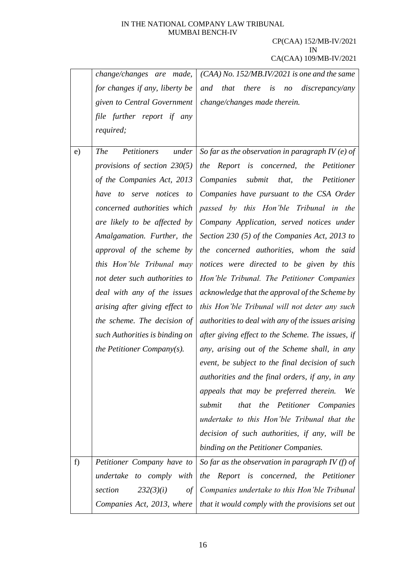|    | change/changes are made,           | $(CAA)$ No. 152/MB.IV/2021 is one and the same     |  |  |  |
|----|------------------------------------|----------------------------------------------------|--|--|--|
|    | for changes if any, liberty be     | and that<br>there<br>no discrepancy/any<br>is      |  |  |  |
|    | given to Central Government        | change/changes made therein.                       |  |  |  |
|    | file further report if any         |                                                    |  |  |  |
|    | required;                          |                                                    |  |  |  |
| e) | <b>The</b><br>Petitioners<br>under | So far as the observation in paragraph IV (e) of   |  |  |  |
|    | provisions of section $230(5)$     | the Report is concerned, the Petitioner            |  |  |  |
|    | of the Companies Act, 2013         | Companies<br>submit<br>that,<br>the Petitioner     |  |  |  |
|    | to serve notices to<br>have        | Companies have pursuant to the CSA Order           |  |  |  |
|    | concerned authorities which        | passed by this Hon'ble Tribunal in the             |  |  |  |
|    | are likely to be affected by       | Company Application, served notices under          |  |  |  |
|    | Amalgamation. Further, the         | Section 230 (5) of the Companies Act, 2013 to      |  |  |  |
|    | approval of the scheme by          | the concerned authorities, whom the said           |  |  |  |
|    | this Hon'ble Tribunal may          | notices were directed to be given by this          |  |  |  |
|    | not deter such authorities to      | Hon'ble Tribunal. The Petitioner Companies         |  |  |  |
|    | deal with any of the issues        | acknowledge that the approval of the Scheme by     |  |  |  |
|    | arising after giving effect to     | this Hon'ble Tribunal will not deter any such      |  |  |  |
|    | the scheme. The decision of        | authorities to deal with any of the issues arising |  |  |  |
|    | such Authorities is binding on     | after giving effect to the Scheme. The issues, if  |  |  |  |
|    | the Petitioner Company(s).         | any, arising out of the Scheme shall, in any       |  |  |  |
|    |                                    | event, be subject to the final decision of such    |  |  |  |
|    |                                    | authorities and the final orders, if any, in any   |  |  |  |
|    |                                    | appeals that may be preferred therein.<br>We       |  |  |  |
|    |                                    | that the Petitioner Companies<br>submit            |  |  |  |
|    |                                    | undertake to this Hon'ble Tribunal that the        |  |  |  |
|    |                                    | decision of such authorities, if any, will be      |  |  |  |
|    |                                    | binding on the Petitioner Companies.               |  |  |  |
| f) | Petitioner Company have to         | So far as the observation in paragraph IV (f) of   |  |  |  |
|    | to comply with<br>undertake        | the Report is concerned, the Petitioner            |  |  |  |
|    | 232(3)(i)<br>section<br>of         | Companies undertake to this Hon'ble Tribunal       |  |  |  |
|    | Companies Act, 2013, where         | that it would comply with the provisions set out   |  |  |  |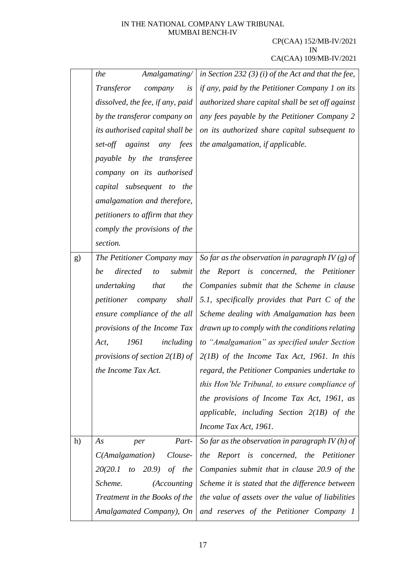|    | Amalgamating/<br>the                          | in Section 232 (3) (i) of the Act and that the fee, |
|----|-----------------------------------------------|-----------------------------------------------------|
|    | Transferor<br>is<br>company                   | if any, paid by the Petitioner Company 1 on its     |
|    | dissolved, the fee, if any, paid              | authorized share capital shall be set off against   |
|    | by the transferor company on                  | any fees payable by the Petitioner Company 2        |
|    | its authorised capital shall be               | on its authorized share capital subsequent to       |
|    | set-off against<br>any fees                   | the amalgamation, if applicable.                    |
|    | payable by the transferee                     |                                                     |
|    | company on its authorised                     |                                                     |
|    | capital subsequent to the                     |                                                     |
|    | amalgamation and therefore,                   |                                                     |
|    | petitioners to affirm that they               |                                                     |
|    | comply the provisions of the                  |                                                     |
|    | section.                                      |                                                     |
| g) | The Petitioner Company may                    | So far as the observation in paragraph IV (g) of    |
|    | submit<br>directed<br>be<br>to                | Report is concerned, the Petitioner<br>the          |
|    | the<br>undertaking<br>that                    | Companies submit that the Scheme in clause          |
|    | shall<br><i>petitioner company</i>            | 5.1, specifically provides that Part $C$ of the     |
|    | ensure compliance of the all                  | Scheme dealing with Amalgamation has been           |
|    | provisions of the Income Tax                  | drawn up to comply with the conditions relating     |
|    | 1961<br><i>including</i><br>Act,              | to "Amalgamation" as specified under Section        |
|    | provisions of section $2(1B)$ of              | $2(1B)$ of the Income Tax Act, 1961. In this        |
|    | the Income Tax Act.                           | regard, the Petitioner Companies undertake to       |
|    |                                               | this Hon'ble Tribunal, to ensure compliance of      |
|    |                                               | the provisions of Income Tax Act, 1961, as          |
|    |                                               | applicable, including Section $2(1B)$ of the        |
|    |                                               | Income Tax Act, 1961.                               |
| h) | Part-<br>As<br>per                            | So far as the observation in paragraph IV $(h)$ of  |
|    | Clouse-<br>C(Amalgamation)                    | Report is concerned, the Petitioner<br>the          |
|    | 20(20.1)<br>$(20.9)$ of the<br>$\mathfrak{t}$ | Companies submit that in clause 20.9 of the         |
|    | Scheme.<br><i>(Accounting</i> )               | Scheme it is stated that the difference between     |
|    | Treatment in the Books of the                 | the value of assets over the value of liabilities   |
|    | Amalgamated Company), On                      | and reserves of the Petitioner Company 1            |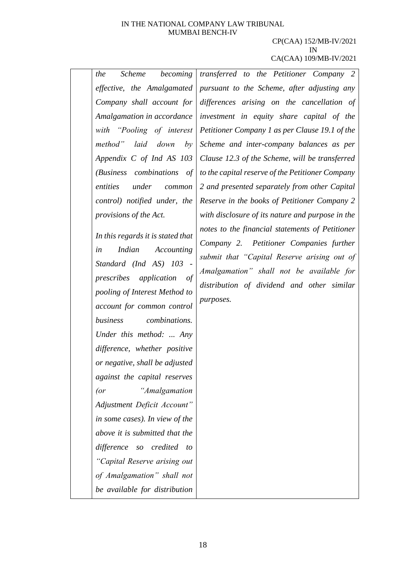#### CP(CAA) 152/MB-IV/2021 IN CA(CAA) 109/MB-IV/2021

*the Scheme becoming effective, the Amalgamated Company shall account for Amalgamation in accordance with "Pooling of interest method" laid down by Appendix C of Ind AS 103 (Business combinations of entities under common control) notified under, the provisions of the Act.*

*In this regards it is stated that in Indian Accounting Standard (Ind AS) 103 prescribes application of pooling of Interest Method to account for common control business combinations. Under this method: ... Any difference, whether positive or negative, shall be adjusted against the capital reserves (or "Amalgamation Adjustment Deficit Account" in some cases). In view of the above it is submitted that the difference so credited to "Capital Reserve arising out of Amalgamation" shall not be available for distribution*  *transferred to the Petitioner Company 2 pursuant to the Scheme, after adjusting any differences arising on the cancellation of investment in equity share capital of the Petitioner Company 1 as per Clause 19.1 of the Scheme and inter-company balances as per Clause 12.3 of the Scheme, will be transferred to the capital reserve of the Petitioner Company 2 and presented separately from other Capital Reserve in the books of Petitioner Company 2 with disclosure of its nature and purpose in the notes to the financial statements of Petitioner Company 2. Petitioner Companies further submit that "Capital Reserve arising out of Amalgamation" shall not be available for distribution of dividend and other similar purposes.*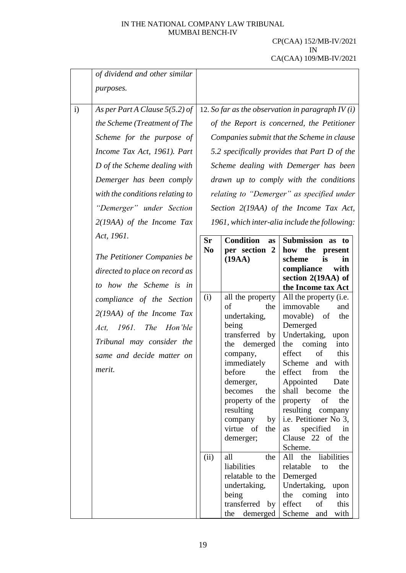|              | of dividend and other similar    |                                                    |                                   |                                               |
|--------------|----------------------------------|----------------------------------------------------|-----------------------------------|-----------------------------------------------|
|              | purposes.                        |                                                    |                                   |                                               |
| $\mathbf{i}$ | As per Part A Clause $5(5.2)$ of | 12. So far as the observation in paragraph $IV(i)$ |                                   |                                               |
|              | the Scheme (Treatment of The     |                                                    |                                   | of the Report is concerned, the Petitioner    |
|              | Scheme for the purpose of        |                                                    |                                   | Companies submit that the Scheme in clause    |
|              | Income Tax Act, 1961). Part      |                                                    |                                   | 5.2 specifically provides that Part D of the  |
|              | D of the Scheme dealing with     |                                                    |                                   | Scheme dealing with Demerger has been         |
|              | Demerger has been comply         |                                                    |                                   | drawn up to comply with the conditions        |
|              | with the conditions relating to  |                                                    |                                   | relating to "Demerger" as specified under     |
|              | "Demerger" under Section         |                                                    |                                   | Section 2(19AA) of the Income Tax Act,        |
|              | $2(19AA)$ of the Income Tax      |                                                    |                                   | 1961, which inter-alia include the following: |
|              | Act, 1961.                       | <b>Sr</b>                                          | <b>Condition</b><br><b>as</b>     | Submission as to                              |
|              | The Petitioner Companies be      | N <sub>0</sub>                                     | per section 2<br>(19AA)           | how the<br>present<br>scheme<br>is<br>in      |
|              | directed to place on record as   |                                                    |                                   | compliance<br>with                            |
|              | to how the Scheme is in          |                                                    |                                   | section 2(19AA) of<br>the Income tax Act      |
|              | compliance of the Section        | (i)                                                | all the property                  | All the property (i.e.                        |
|              | $2(19AA)$ of the Income Tax      |                                                    | of<br>the<br>undertaking,         | immovable<br>and<br>movable) of<br>the        |
|              | Act, 1961. The Hon'ble           |                                                    | being                             | Demerged                                      |
|              | Tribunal may consider the        |                                                    | transferred by                    | Undertaking,<br>upon                          |
|              |                                  |                                                    | demerged<br>the<br>company,       | the<br>coming<br>into<br>effect<br>of<br>this |
|              | same and decide matter on        |                                                    | immediately                       | Scheme<br>and<br>with                         |
|              | merit.                           |                                                    | before the effect from            | the                                           |
|              |                                  |                                                    | demerger,                         | Appointed<br>Date                             |
|              |                                  |                                                    | becomes<br>the<br>property of the | shall become<br>the<br>of<br>the<br>property  |
|              |                                  |                                                    | resulting                         | resulting company                             |
|              |                                  |                                                    | company<br>by <sub>l</sub>        | i.e. Petitioner No 3,                         |
|              |                                  |                                                    | virtue of<br>the                  | specified<br>in<br>as                         |
|              |                                  |                                                    | demerger;                         | Clause 22 of the<br>Scheme.                   |
|              |                                  | (ii)                                               | all<br>the                        | All<br>liabilities<br>the                     |
|              |                                  |                                                    | liabilities                       | relatable<br>to<br>the                        |
|              |                                  |                                                    | relatable to the                  | Demerged                                      |
|              |                                  |                                                    | undertaking,<br>being             | Undertaking,<br>upon<br>the<br>coming<br>into |
|              |                                  |                                                    | transferred by                    | effect<br>of<br>this                          |
|              |                                  |                                                    | demerged   Scheme<br>the          | with<br>and                                   |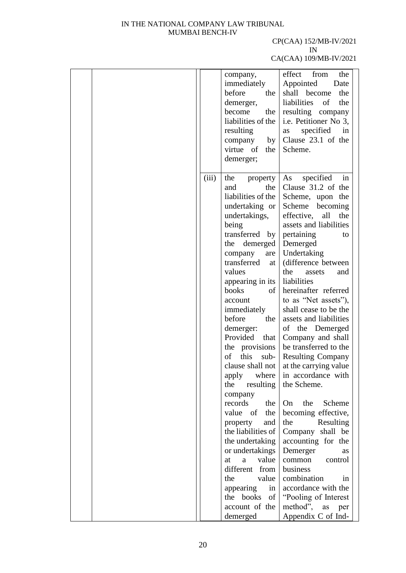#### CP(CAA) 152/MB-IV/2021 IN

|       | company,           | effect<br>from<br>the    |
|-------|--------------------|--------------------------|
|       | immediately        | Appointed<br>Date        |
|       | before<br>the      | shall become<br>the      |
|       | demerger,          | liabilities<br>the<br>of |
|       | the<br>become      | resulting company        |
|       | liabilities of the | i.e. Petitioner No 3,    |
|       | resulting          | specified<br>in<br>as    |
|       | company by         | Clause 23.1 of the       |
|       | virtue of<br>the   | Scheme.                  |
|       | demerger;          |                          |
|       |                    |                          |
| (iii) | the property       | As specified<br>in       |
|       | the<br>and         | Clause 31.2 of the       |
|       | liabilities of the | Scheme, upon the         |
|       | undertaking or     | Scheme becoming          |
|       | undertakings,      | effective,<br>all<br>the |
|       | being              | assets and liabilities   |
|       | transferred by     | pertaining<br>to         |
|       | demerged<br>the    | Demerged                 |
|       | company<br>are     | Undertaking              |
|       | transferred<br>at  | (difference between      |
|       | values             | the<br>assets<br>and     |
|       | appearing in its   | liabilities              |
|       | books<br>of        | hereinafter referred     |
|       | account            | to as "Net assets"),     |
|       | immediately        | shall cease to be the    |
|       | before<br>the      | assets and liabilities   |
|       | demerger:          | of the Demerged          |
|       | Provided that      | Company and shall        |
|       | the provisions     | be transferred to the    |
|       | of<br>this<br>sub- | <b>Resulting Company</b> |
|       | clause shall not   | at the carrying value    |
|       | apply where        | in accordance with       |
|       | resulting<br>the   | the Scheme.              |
|       | company            |                          |
|       | records<br>the     | the<br>Scheme<br>On      |
|       | value of<br>the    | becoming effective,      |
|       | property<br>and    | the<br>Resulting         |
|       | the liabilities of | Company shall be         |
|       | the undertaking    | accounting for the       |
|       | or undertakings    | Demerger<br>as           |
|       | value<br>at<br>a a | common<br>control        |
|       | different from     | business                 |
|       | the<br>value       | combination<br>in        |
|       | appearing<br>in    | accordance with the      |
|       | the books of       | "Pooling of Interest"    |
|       | account of the     | method",<br>as<br>per    |
|       | demerged           |                          |
|       |                    | Appendix C of Ind-       |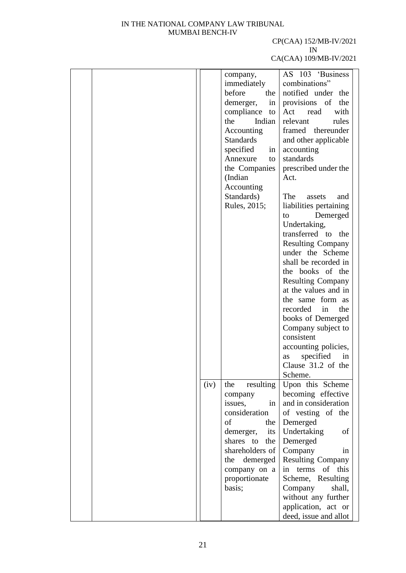## CP(CAA) 152/MB-IV/2021 IN

|      | company,         | AS 103 'Business         |
|------|------------------|--------------------------|
|      | immediately      | combinations"            |
|      | before<br>the    | notified under the       |
|      | demerger,<br>in  | provisions of<br>the     |
|      | compliance<br>to | with<br>Act<br>read      |
|      | the<br>Indian    | relevant<br>rules        |
|      |                  | framed thereunder        |
|      | Accounting       |                          |
|      | <b>Standards</b> | and other applicable     |
|      | specified<br>in  | accounting               |
|      | Annexure<br>to   | standards                |
|      | the Companies    | prescribed under the     |
|      | (Indian          | Act.                     |
|      | Accounting       |                          |
|      | Standards)       | The<br>assets<br>and     |
|      | Rules, 2015;     | liabilities pertaining   |
|      |                  | Demerged<br>to           |
|      |                  | Undertaking,             |
|      |                  | transferred to<br>the    |
|      |                  | <b>Resulting Company</b> |
|      |                  | under the Scheme         |
|      |                  | shall be recorded in     |
|      |                  | the books of the         |
|      |                  | <b>Resulting Company</b> |
|      |                  | at the values and in     |
|      |                  | the same form as         |
|      |                  | recorded in<br>the       |
|      |                  | books of Demerged        |
|      |                  | Company subject to       |
|      |                  | consistent               |
|      |                  | accounting policies,     |
|      |                  | specified<br>in          |
|      |                  | as<br>Clause 31.2 of the |
|      |                  |                          |
|      |                  | Scheme.                  |
| (iv) | resulting<br>the | Upon this Scheme         |
|      | company          | becoming effective       |
|      | in<br>issues,    | and in consideration     |
|      | consideration    | of vesting of the        |
|      | of<br>the        | Demerged                 |
|      | demerger,<br>its | Undertaking<br>of        |
|      | shares to<br>the | Demerged                 |
|      | shareholders of  | Company<br>1n            |
|      | demerged<br>the  | <b>Resulting Company</b> |
|      | company on a     | of this<br>in terms      |
|      | proportionate    | Scheme, Resulting        |
|      | basis;           | Company<br>shall,        |
|      |                  | without any further      |
|      |                  | application, act or      |
|      |                  | deed, issue and allot    |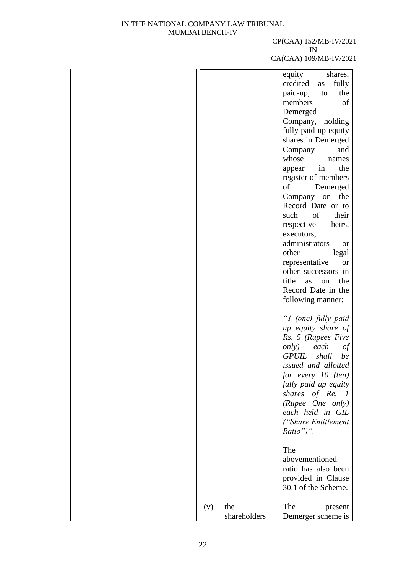#### CP(CAA) 152/MB-IV/2021 IN

|     |              | equity<br>shares,           |
|-----|--------------|-----------------------------|
|     |              | credited<br>fully<br>as     |
|     |              | paid-up,<br>the<br>to       |
|     |              | members<br>of               |
|     |              | Demerged                    |
|     |              | Company, holding            |
|     |              | fully paid up equity        |
|     |              | shares in Demerged          |
|     |              | Company<br>and              |
|     |              | whose<br>names              |
|     |              | the<br>appear<br>in         |
|     |              | register of members         |
|     |              | of<br>Demerged              |
|     |              | Company on<br>the           |
|     |              | Record Date or to           |
|     |              | such of<br>their            |
|     |              | respective<br>heirs,        |
|     |              | executors,                  |
|     |              | administrators<br><b>or</b> |
|     |              | other<br>legal              |
|     |              | representative<br><b>or</b> |
|     |              | other successors in         |
|     |              | title<br>the<br>as<br>on    |
|     |              | Record Date in the          |
|     |              | following manner:           |
|     |              |                             |
|     |              | "I (one) fully paid         |
|     |              | up equity share of          |
|     |              | Rs. 5 (Rupees Five          |
|     |              | only)<br>each<br>$\iota$    |
|     |              | GPUIL<br>shall<br>be        |
|     |              | issued and allotted         |
|     |              | for every $10$ (ten)        |
|     |              | fully paid up equity        |
|     |              | shares of Re. 1             |
|     |              | (Rupee One only)            |
|     |              | each held in GIL            |
|     |              | ("Share Entitlement         |
|     |              | $Ratio$ ")".                |
|     |              |                             |
|     |              | The                         |
|     |              | abovementioned              |
|     |              | ratio has also been         |
|     |              | provided in Clause          |
|     |              | 30.1 of the Scheme.         |
|     |              |                             |
| (v) | the          | The<br>present              |
|     | shareholders | Demerger scheme is          |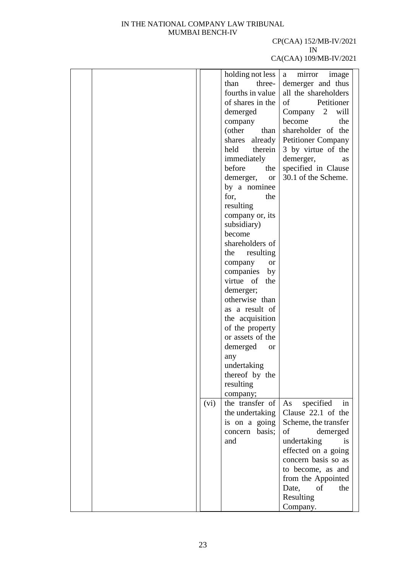#### CP(CAA) 152/MB-IV/2021 IN

|      | holding not less           | mirror<br>image<br>a                |
|------|----------------------------|-------------------------------------|
|      | than<br>three-             | demerger and thus                   |
|      | fourths in value           | all the shareholders                |
|      | of shares in the           | Petitioner<br>of                    |
|      | demerged                   | Company 2 will                      |
|      |                            | become<br>the                       |
|      | company                    |                                     |
|      | (other<br>than             | shareholder of the                  |
|      |                            | shares already   Petitioner Company |
|      | held<br>therein            | 3 by virtue of the                  |
|      | immediately                | demerger,<br>as                     |
|      | before<br>the              | specified in Clause                 |
|      | demerger, or               | 30.1 of the Scheme.                 |
|      | by a nominee               |                                     |
|      |                            |                                     |
|      | for,<br>the                |                                     |
|      | resulting                  |                                     |
|      | company or, its            |                                     |
|      | subsidiary)                |                                     |
|      | become                     |                                     |
|      | shareholders of            |                                     |
|      | resulting<br>the           |                                     |
|      | company<br><b>or</b>       |                                     |
|      |                            |                                     |
|      | companies by               |                                     |
|      | virtue of<br>the           |                                     |
|      | demerger;                  |                                     |
|      | otherwise than             |                                     |
|      | as a result of             |                                     |
|      | the acquisition            |                                     |
|      | of the property            |                                     |
|      | or assets of the           |                                     |
|      | demerged<br><sub>or</sub>  |                                     |
|      |                            |                                     |
|      | any                        |                                     |
|      | undertaking                |                                     |
|      | thereof by the             |                                     |
|      | resulting                  |                                     |
|      | company;                   |                                     |
| (vi) | the transfer of $\vert$ As | specified<br>in                     |
|      | the undertaking            | Clause 22.1 of the                  |
|      | is on a going              | Scheme, the transfer                |
|      | concern basis;             | of<br>demerged                      |
|      |                            |                                     |
|      | and                        | undertaking<br><i>is</i>            |
|      |                            | effected on a going                 |
|      |                            | concern basis so as                 |
|      |                            | to become, as and                   |
|      |                            | from the Appointed                  |
|      |                            | Date, of<br>the                     |
|      |                            | Resulting                           |
|      |                            | Company.                            |
|      |                            |                                     |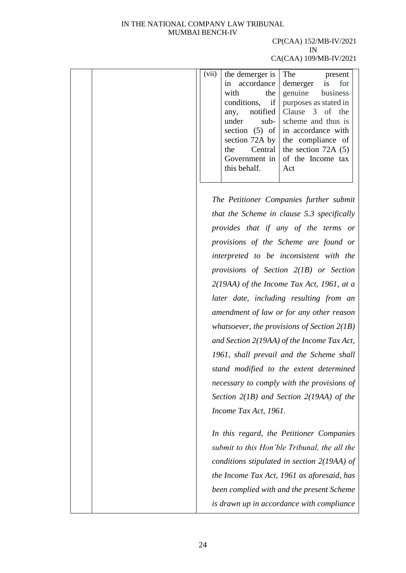# CP(CAA) 152/MB-IV/2021 IN

| (vii) | the demerger is<br>in accordance<br>with<br>the<br>conditions, if<br>notified<br>any,<br>under<br>$sub-$<br>the<br>Central<br>Government in<br>this behalf. | The<br>present<br>demerger is<br>for<br>genuine<br>business<br>purposes as stated in<br>Clause 3 of the<br>scheme and thus is<br>section $(5)$ of in accordance with<br>section 72A by $\vert$ the compliance of<br>the section $72A(5)$<br>of the Income tax<br>Act                                                                                                                                                                                                                                                                                                                                                                                                                    |
|-------|-------------------------------------------------------------------------------------------------------------------------------------------------------------|-----------------------------------------------------------------------------------------------------------------------------------------------------------------------------------------------------------------------------------------------------------------------------------------------------------------------------------------------------------------------------------------------------------------------------------------------------------------------------------------------------------------------------------------------------------------------------------------------------------------------------------------------------------------------------------------|
|       | Income Tax Act, 1961.                                                                                                                                       | The Petitioner Companies further submit<br>that the Scheme in clause 5.3 specifically<br>provides that if any of the terms or<br>provisions of the Scheme are found or<br>interpreted to be inconsistent with the<br>provisions of Section $2(1B)$ or Section<br>$2(19AA)$ of the Income Tax Act, 1961, at a<br>later date, including resulting from an<br>amendment of law or for any other reason<br>whatsoever, the provisions of Section $2(1B)$<br>and Section 2(19AA) of the Income Tax Act,<br>1961, shall prevail and the Scheme shall<br>stand modified to the extent determined<br>necessary to comply with the provisions of<br>Section $2(1B)$ and Section $2(19AA)$ of the |
|       |                                                                                                                                                             | In this regard, the Petitioner Companies<br>submit to this Hon'ble Tribunal, the all the<br>conditions stipulated in section $2(19AA)$ of<br>the Income Tax Act, 1961 as aforesaid, has<br>been complied with and the present Scheme<br>is drawn up in accordance with compliance                                                                                                                                                                                                                                                                                                                                                                                                       |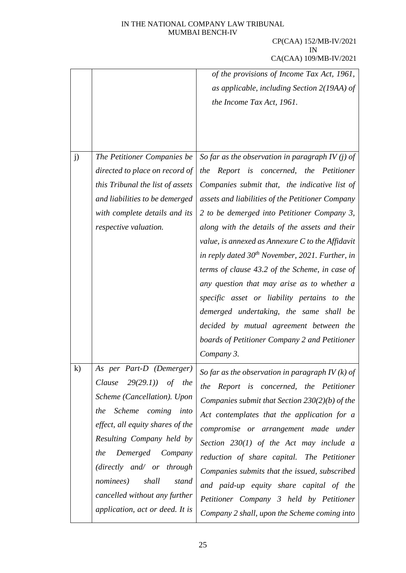|          |                                     | of the provisions of Income Tax Act, 1961,           |
|----------|-------------------------------------|------------------------------------------------------|
|          |                                     | as applicable, including Section 2(19AA) of          |
|          |                                     |                                                      |
|          |                                     | the Income Tax Act, 1961.                            |
|          |                                     |                                                      |
|          |                                     |                                                      |
|          |                                     |                                                      |
| j)       | The Petitioner Companies be         | So far as the observation in paragraph IV (j) of     |
|          | directed to place on record of      | the Report is concerned, the Petitioner              |
|          | this Tribunal the list of assets    | Companies submit that, the indicative list of        |
|          | and liabilities to be demerged      | assets and liabilities of the Petitioner Company     |
|          | with complete details and its       | 2 to be demerged into Petitioner Company 3,          |
|          | respective valuation.               | along with the details of the assets and their       |
|          |                                     | value, is annexed as Annexure $C$ to the Affidavit   |
|          |                                     | in reply dated $30^{th}$ November, 2021. Further, in |
|          |                                     | terms of clause 43.2 of the Scheme, in case of       |
|          |                                     | any question that may arise as to whether a          |
|          |                                     | specific asset or liability pertains to the          |
|          |                                     | demerged undertaking, the same shall be              |
|          |                                     | decided by mutual agreement between the              |
|          |                                     | boards of Petitioner Company 2 and Petitioner        |
|          |                                     | Company 3.                                           |
| $\bf{k}$ | As per Part-D (Demerger)            | So far as the observation in paragraph IV $(k)$ of   |
|          | $29(29.1)$ of the<br>Clause         | the Report is concerned, the Petitioner              |
|          | Scheme (Cancellation). Upon         | Companies submit that Section $230(2)(b)$ of the     |
|          | Scheme coming<br>into<br>the        | Act contemplates that the application for a          |
|          | effect, all equity shares of the    | compromise or arrangement made under                 |
|          | Resulting Company held by           | Section $230(1)$ of the Act may include a            |
|          | Demerged Company<br>the             | reduction of share capital. The Petitioner           |
|          | (directly and/ or through           | Companies submits that the issued, subscribed        |
|          | <i>nominees</i> )<br>shall<br>stand | and paid-up equity share capital of the              |
|          | cancelled without any further       |                                                      |
|          | application, act or deed. It is     | Petitioner Company 3 held by Petitioner              |
|          |                                     | Company 2 shall, upon the Scheme coming into         |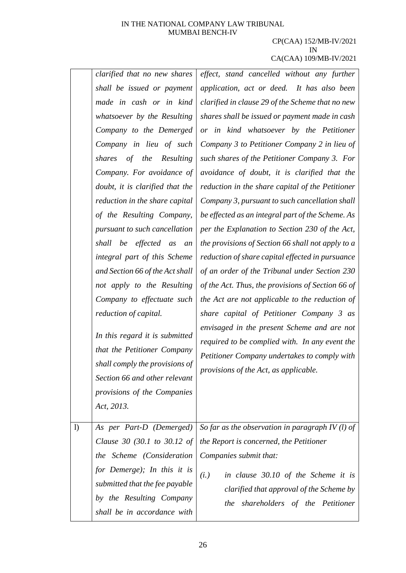|    | clarified that no new shares<br>shall be issued or payment                                                                                                                    | effect, stand cancelled without any further<br>application, act or deed. It has also been                                                                                              |
|----|-------------------------------------------------------------------------------------------------------------------------------------------------------------------------------|----------------------------------------------------------------------------------------------------------------------------------------------------------------------------------------|
|    | made in cash or in kind                                                                                                                                                       | clarified in clause 29 of the Scheme that no new                                                                                                                                       |
|    | whatsoever by the Resulting                                                                                                                                                   | shares shall be issued or payment made in cash                                                                                                                                         |
|    | Company to the Demerged                                                                                                                                                       | or in kind whatsoever by the Petitioner                                                                                                                                                |
|    | Company in lieu of such                                                                                                                                                       | Company 3 to Petitioner Company 2 in lieu of                                                                                                                                           |
|    | shares of the Resulting                                                                                                                                                       | such shares of the Petitioner Company 3. For                                                                                                                                           |
|    | Company. For avoidance of                                                                                                                                                     | avoidance of doubt, it is clarified that the                                                                                                                                           |
|    | doubt, it is clarified that the                                                                                                                                               | reduction in the share capital of the Petitioner                                                                                                                                       |
|    | reduction in the share capital                                                                                                                                                | Company 3, pursuant to such cancellation shall                                                                                                                                         |
|    | of the Resulting Company,                                                                                                                                                     | be effected as an integral part of the Scheme. As                                                                                                                                      |
|    | pursuant to such cancellation                                                                                                                                                 | per the Explanation to Section 230 of the Act,                                                                                                                                         |
|    | shall be effected as<br>an                                                                                                                                                    | the provisions of Section 66 shall not apply to a                                                                                                                                      |
|    | integral part of this Scheme                                                                                                                                                  | reduction of share capital effected in pursuance                                                                                                                                       |
|    | and Section 66 of the Act shall                                                                                                                                               | of an order of the Tribunal under Section 230                                                                                                                                          |
|    | not apply to the Resulting                                                                                                                                                    | of the Act. Thus, the provisions of Section 66 of                                                                                                                                      |
|    | Company to effectuate such                                                                                                                                                    | the Act are not applicable to the reduction of                                                                                                                                         |
|    | reduction of capital.                                                                                                                                                         | share capital of Petitioner Company 3 as                                                                                                                                               |
|    | In this regard it is submitted<br>that the Petitioner Company<br>shall comply the provisions of<br>Section 66 and other relevant<br>provisions of the Companies<br>Act, 2013. | envisaged in the present Scheme and are not<br>required to be complied with. In any event the<br>Petitioner Company undertakes to comply with<br>provisions of the Act, as applicable. |
| 1) | As per Part-D (Demerged)                                                                                                                                                      | So far as the observation in paragraph IV $(l)$ of                                                                                                                                     |
|    | Clause 30 (30.1 to 30.12 of                                                                                                                                                   | the Report is concerned, the Petitioner                                                                                                                                                |
|    | the Scheme (Consideration                                                                                                                                                     | Companies submit that:                                                                                                                                                                 |
|    | for Demerge); In this it is<br>submitted that the fee payable<br>by the Resulting Company<br>shall be in accordance with                                                      | (i.)<br>in clause 30.10 of the Scheme it is<br>clarified that approval of the Scheme by<br>shareholders of the Petitioner<br>the                                                       |
|    |                                                                                                                                                                               |                                                                                                                                                                                        |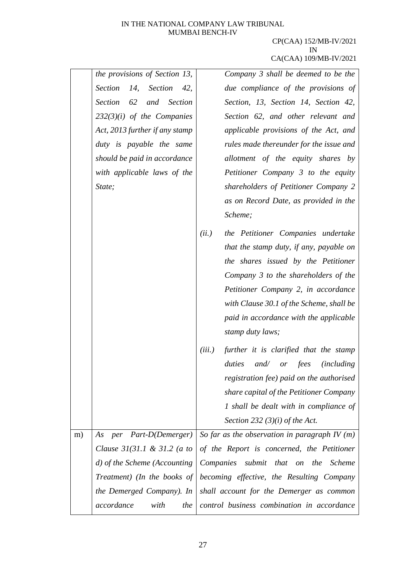|    | the provisions of Section 13,                 |           | Company 3 shall be deemed to be the                |
|----|-----------------------------------------------|-----------|----------------------------------------------------|
|    | <b>Section</b><br>14,<br>Section<br>42,       |           | due compliance of the provisions of                |
|    | <b>Section</b><br>62<br>and<br><b>Section</b> |           | Section, 13, Section 14, Section 42,               |
|    | $232(3)(i)$ of the Companies                  |           | Section 62, and other relevant and                 |
|    | Act, 2013 further if any stamp                |           | applicable provisions of the Act, and              |
|    | duty is payable the same                      |           | rules made thereunder for the issue and            |
|    | should be paid in accordance                  |           | allotment of the equity shares by                  |
|    | with applicable laws of the                   |           | Petitioner Company 3 to the equity                 |
|    | State;                                        |           | shareholders of Petitioner Company 2               |
|    |                                               |           | as on Record Date, as provided in the              |
|    |                                               |           | Scheme;                                            |
|    |                                               | (ii.)     | the Petitioner Companies undertake                 |
|    |                                               |           | that the stamp duty, if any, payable on            |
|    |                                               |           | the shares issued by the Petitioner                |
|    |                                               |           | Company 3 to the shareholders of the               |
|    |                                               |           | Petitioner Company 2, in accordance                |
|    |                                               |           | with Clause 30.1 of the Scheme, shall be           |
|    |                                               |           | paid in accordance with the applicable             |
|    |                                               |           | stamp duty laws;                                   |
|    |                                               | (iii.)    | further it is clarified that the stamp             |
|    |                                               |           | duties<br>and/<br>fees<br><i>(including)</i><br>or |
|    |                                               |           | registration fee) paid on the authorised           |
|    |                                               |           | share capital of the Petitioner Company            |
|    |                                               |           | 1 shall be dealt with in compliance of             |
|    |                                               |           | Section 232 (3)(i) of the Act.                     |
| m) | As per Part-D(Demerger)                       |           | So far as the observation in paragraph IV $(m)$    |
|    | Clause $31(31.1 \& 31.2$ (a to                |           | of the Report is concerned, the Petitioner         |
|    | d) of the Scheme (Accounting                  | Companies | submit that on the<br><i>Scheme</i>                |
|    | Treatment) (In the books of                   |           | becoming effective, the Resulting Company          |
|    | the Demerged Company). In                     |           | shall account for the Demerger as common           |
|    | accordance<br>with<br>the                     |           | control business combination in accordance         |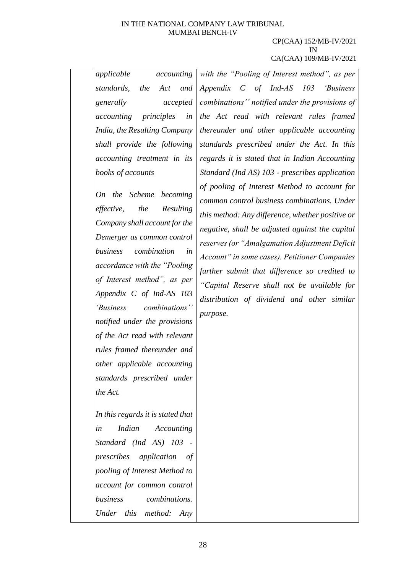#### CP(CAA) 152/MB-IV/2021 IN CA(CAA) 109/MB-IV/2021

*applicable accounting standards, the Act and generally accepted accounting principles in India, the Resulting Company shall provide the following accounting treatment in its books of accounts*

*On the Scheme becoming effective, the Resulting Company shall account for the Demerger as common control business combination in accordance with the "Pooling of Interest method", as per Appendix C of Ind-AS 103 'Business combinations'' notified under the provisions of the Act read with relevant rules framed thereunder and other applicable accounting standards prescribed under the Act.*

*In this regards it is stated that in Indian Accounting Standard (Ind AS) 103 prescribes application of pooling of Interest Method to account for common control business combinations. Under this method: Any* 

*with the "Pooling of Interest method", as per Appendix C of Ind-AS 103 'Business combinations'' notified under the provisions of the Act read with relevant rules framed thereunder and other applicable accounting standards prescribed under the Act. In this regards it is stated that in Indian Accounting Standard (Ind AS) 103 - prescribes application of pooling of Interest Method to account for common control business combinations. Under this method: Any difference, whether positive or negative, shall be adjusted against the capital reserves (or "Amalgamation Adjustment Deficit Account" in some cases). Petitioner Companies further submit that difference so credited to "Capital Reserve shall not be available for distribution of dividend and other similar purpose.*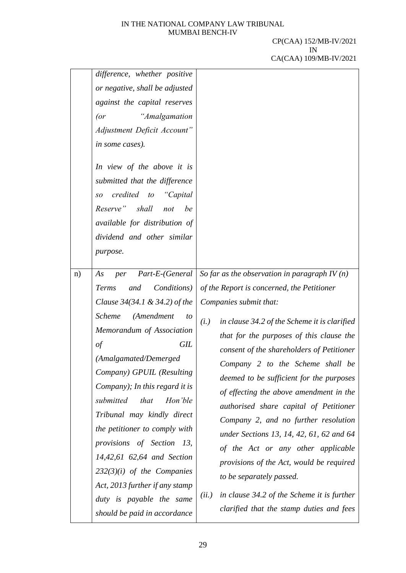|    | difference, whether positive<br>or negative, shall be adjusted<br>against the capital reserves<br>"Amalgamation<br>(<br>Adjustment Deficit Account"<br>in some cases).<br>In view of the above it is<br>submitted that the difference<br>credited to<br>"Capital<br>SO<br>Reserve"<br>shall<br>be<br>not<br>available for distribution of<br>dividend and other similar<br>purpose.                                                                                                                                                                                                  |                                                                                                                                                                                                                                                                                                                                                                                                                                                                                                                                                                                                                                                                                                                                                    |
|----|--------------------------------------------------------------------------------------------------------------------------------------------------------------------------------------------------------------------------------------------------------------------------------------------------------------------------------------------------------------------------------------------------------------------------------------------------------------------------------------------------------------------------------------------------------------------------------------|----------------------------------------------------------------------------------------------------------------------------------------------------------------------------------------------------------------------------------------------------------------------------------------------------------------------------------------------------------------------------------------------------------------------------------------------------------------------------------------------------------------------------------------------------------------------------------------------------------------------------------------------------------------------------------------------------------------------------------------------------|
| n) | Part-E-(General<br>As<br>per<br><i>Conditions</i> )<br><b>Terms</b><br>and<br>Clause $34(34.1 \& 34.2)$ of the<br>(Amendment<br><b>Scheme</b><br>to<br>Memorandum of Association<br><b>GIL</b><br>of<br>(Amalgamated/Demerged<br>Company) GPUIL (Resulting<br>Company); In this regard it is<br>submitted<br>Hon'ble<br>that<br>Tribunal may kindly direct<br>the petitioner to comply with<br>provisions of Section 13,<br>14,42,61 62,64 and Section<br>$232(3)(i)$ of the Companies<br>Act, 2013 further if any stamp<br>duty is payable the same<br>should be paid in accordance | So far as the observation in paragraph IV $(n)$<br>of the Report is concerned, the Petitioner<br>Companies submit that:<br>in clause 34.2 of the Scheme it is clarified<br>(i.)<br>that for the purposes of this clause the<br>consent of the shareholders of Petitioner<br>Company 2 to the Scheme shall be<br>deemed to be sufficient for the purposes<br>of effecting the above amendment in the<br>authorised share capital of Petitioner<br>Company 2, and no further resolution<br>under Sections 13, 14, 42, 61, 62 and 64<br>of the Act or any other applicable<br>provisions of the Act, would be required<br>to be separately passed.<br>in clause 34.2 of the Scheme it is further<br>(ii.)<br>clarified that the stamp duties and fees |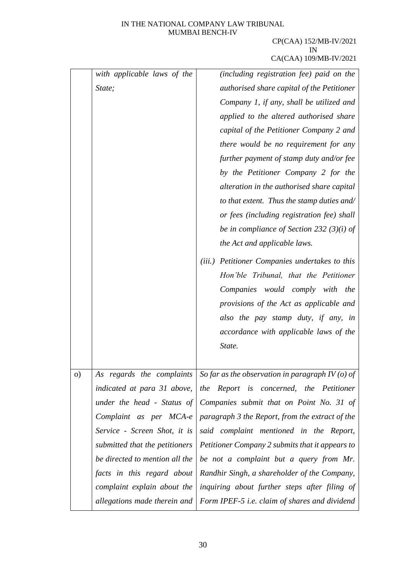|    | with applicable laws of the    | (including registration fee) paid on the          |
|----|--------------------------------|---------------------------------------------------|
|    | State;                         | authorised share capital of the Petitioner        |
|    |                                | Company 1, if any, shall be utilized and          |
|    |                                | applied to the altered authorised share           |
|    |                                | capital of the Petitioner Company 2 and           |
|    |                                | there would be no requirement for any             |
|    |                                | further payment of stamp duty and/or fee          |
|    |                                | by the Petitioner Company 2 for the               |
|    |                                | alteration in the authorised share capital        |
|    |                                | to that extent. Thus the stamp duties and/        |
|    |                                | or fees (including registration fee) shall        |
|    |                                | be in compliance of Section 232 (3)(i) of         |
|    |                                | the Act and applicable laws.                      |
|    |                                | Petitioner Companies undertakes to this<br>(iii.) |
|    |                                | Hon'ble Tribunal, that the Petitioner             |
|    |                                | Companies<br>would comply with<br>the             |
|    |                                | provisions of the Act as applicable and           |
|    |                                | also the pay stamp duty, if any, in               |
|    |                                | accordance with applicable laws of the            |
|    |                                | State.                                            |
|    |                                |                                                   |
| O) | As regards the complaints      | So far as the observation in paragraph IV (o) of  |
|    | indicated at para 31 above,    | the Report is concerned, the Petitioner           |
|    | under the head - Status of     | Companies submit that on Point No. 31 of          |
|    | Complaint as per MCA-e         | paragraph 3 the Report, from the extract of the   |
|    | Service - Screen Shot, it is   | said complaint mentioned in the Report,           |
|    | submitted that the petitioners | Petitioner Company 2 submits that it appears to   |
|    | be directed to mention all the | be not a complaint but a query from Mr.           |
|    | facts in this regard about     | Randhir Singh, a shareholder of the Company,      |
|    | complaint explain about the    | inquiring about further steps after filing of     |
|    | allegations made therein and   | Form IPEF-5 i.e. claim of shares and dividend     |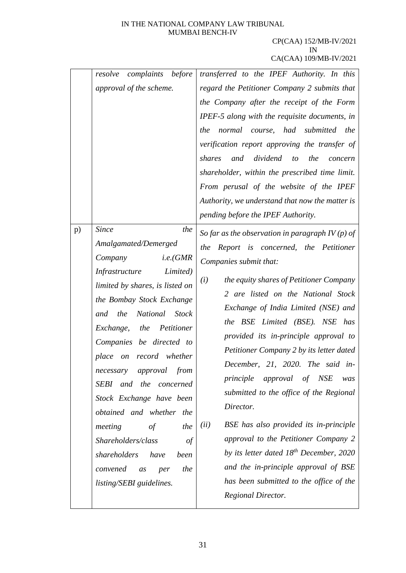| complaints before<br>resolve<br>approval of the scheme.                                                                                                                                                                                                                                                                                                                                                                                                                                                                                                                   | transferred to the IPEF Authority. In this<br>regard the Petitioner Company 2 submits that<br>the Company after the receipt of the Form<br>IPEF-5 along with the requisite documents, in<br>normal course, had submitted the<br>the<br>verification report approving the transfer of<br>dividend<br>the<br>shares<br>and<br>$\mathfrak{t}$<br>concern<br>shareholder, within the prescribed time limit.<br>From perusal of the website of the IPEF<br>Authority, we understand that now the matter is<br>pending before the IPEF Authority.                                                                                                                                                                                                                             |
|---------------------------------------------------------------------------------------------------------------------------------------------------------------------------------------------------------------------------------------------------------------------------------------------------------------------------------------------------------------------------------------------------------------------------------------------------------------------------------------------------------------------------------------------------------------------------|-------------------------------------------------------------------------------------------------------------------------------------------------------------------------------------------------------------------------------------------------------------------------------------------------------------------------------------------------------------------------------------------------------------------------------------------------------------------------------------------------------------------------------------------------------------------------------------------------------------------------------------------------------------------------------------------------------------------------------------------------------------------------|
| <i>Since</i><br>the<br>p)<br>Amalgamated/Demerged<br>i.e.(GMR)<br>Company<br>Limited)<br>Infrastructure<br>limited by shares, is listed on<br>the Bombay Stock Exchange<br>National<br><b>Stock</b><br>and the<br>Exchange, the Petitioner<br>Companies be directed to<br>place on record whether<br>necessary approval from<br>SEBI and the<br>concerned<br>Stock Exchange have been<br>obtained and whether the<br>the<br>meeting<br>$\sigma f$<br>Shareholders/class<br>of<br>shareholders<br>have<br>been<br>the<br>convened<br>per<br>as<br>listing/SEBI guidelines. | So far as the observation in paragraph IV (p) of<br>Report is concerned, the Petitioner<br>the<br>Companies submit that:<br>(i)<br>the equity shares of Petitioner Company<br>2 are listed on the National Stock<br>Exchange of India Limited (NSE) and<br>the BSE Limited (BSE). NSE has<br>provided its in-principle approval to<br>Petitioner Company 2 by its letter dated<br>December, 21, 2020. The said in-<br>approval<br>principle<br>of NSE<br>was<br>submitted to the office of the Regional<br>Director.<br>BSE has also provided its in-principle<br>(ii)<br>approval to the Petitioner Company 2<br>by its letter dated $18^{th}$ December, 2020<br>and the in-principle approval of BSE<br>has been submitted to the office of the<br>Regional Director. |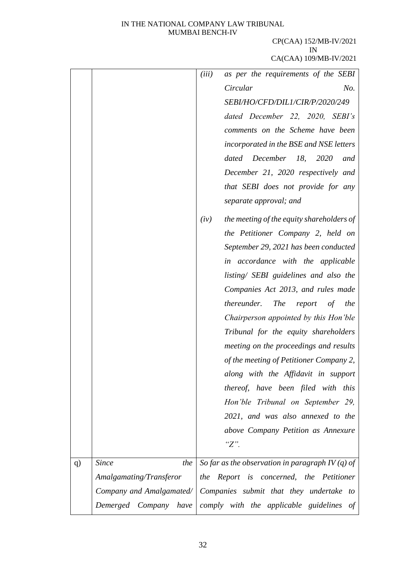|    |                          | (iii) | as per the requirements of the SEBI                            |
|----|--------------------------|-------|----------------------------------------------------------------|
|    |                          |       | Circular<br>No.                                                |
|    |                          |       | SEBI/HO/CFD/DIL1/CIR/P/2020/249                                |
|    |                          |       | dated December 22, 2020, SEBI's                                |
|    |                          |       | comments on the Scheme have been                               |
|    |                          |       | incorporated in the BSE and NSE letters                        |
|    |                          |       | December 18,<br>2020<br>dated<br>and                           |
|    |                          |       | December 21, 2020 respectively and                             |
|    |                          |       | that SEBI does not provide for any                             |
|    |                          |       | separate approval; and                                         |
|    |                          | (iv)  | the meeting of the equity shareholders of                      |
|    |                          |       | the Petitioner Company 2, held on                              |
|    |                          |       | September 29, 2021 has been conducted                          |
|    |                          |       | in accordance with the applicable                              |
|    |                          |       | listing/ SEBI guidelines and also the                          |
|    |                          |       | Companies Act 2013, and rules made                             |
|    |                          |       | thereunder.<br><b>The</b><br>of<br>report<br>the               |
|    |                          |       | Chairperson appointed by this Hon'ble                          |
|    |                          |       | Tribunal for the equity shareholders                           |
|    |                          |       | meeting on the proceedings and results                         |
|    |                          |       | of the meeting of Petitioner Company 2,                        |
|    |                          |       | along with the Affidavit in support                            |
|    |                          |       | thereof, have been filed with this                             |
|    |                          |       | Hon'ble Tribunal on September 29,                              |
|    |                          |       | 2021, and was also annexed to the                              |
|    |                          |       | above Company Petition as Annexure                             |
|    |                          |       | $"Z"$ .                                                        |
| q) | <b>Since</b><br>the      |       | So far as the observation in paragraph IV (q) of               |
|    | Amalgamating/Transferor  |       | the Report is concerned, the Petitioner                        |
|    | Company and Amalgamated/ |       | Companies submit that they undertake to                        |
|    |                          |       | Demerged Company have comply with the applicable guidelines of |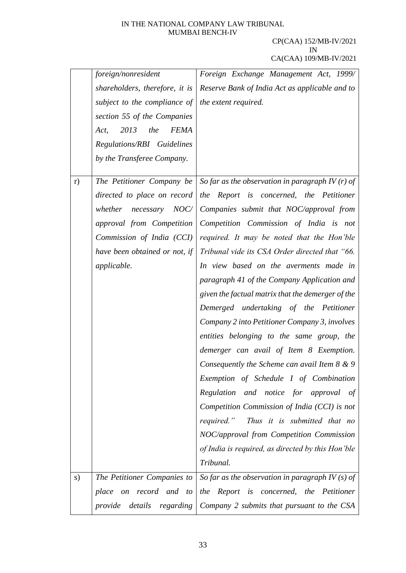|    | foreign/nonresident<br>subject to the compliance of $\vert$ the extent required.<br>section 55 of the Companies<br>2013<br>the<br><b>FEMA</b><br>Act,<br>Regulations/RBI Guidelines<br>by the Transferee Company. | Foreign Exchange Management Act, 1999/<br>shareholders, therefore, it is Reserve Bank of India Act as applicable and to                                                                                                                                                                                                                                                                                                                                                                                                                                                                                                                                                                                                                                                                                                                                                                                                                                               |
|----|-------------------------------------------------------------------------------------------------------------------------------------------------------------------------------------------------------------------|-----------------------------------------------------------------------------------------------------------------------------------------------------------------------------------------------------------------------------------------------------------------------------------------------------------------------------------------------------------------------------------------------------------------------------------------------------------------------------------------------------------------------------------------------------------------------------------------------------------------------------------------------------------------------------------------------------------------------------------------------------------------------------------------------------------------------------------------------------------------------------------------------------------------------------------------------------------------------|
| r) | The Petitioner Company be<br>directed to place on record<br>NOC/<br>whether necessary<br>approval from Competition<br>Commission of India $(CCI)$<br>have been obtained or not, if<br>applicable.                 | So far as the observation in paragraph IV $(r)$ of<br>the Report is concerned, the Petitioner<br>Companies submit that NOC/approval from<br>Competition Commission of India is not<br>required. It may be noted that the Hon'ble<br>Tribunal vide its CSA Order directed that "66.<br>In view based on the averments made in<br>paragraph 41 of the Company Application and<br>given the factual matrix that the demerger of the<br>Demerged undertaking of the Petitioner<br>Company 2 into Petitioner Company 3, involves<br>entities belonging to the same group, the<br>demerger can avail of Item 8 Exemption.<br>Consequently the Scheme can avail Item $8 \& 9$<br>Exemption of Schedule I of Combination<br>Regulation and notice for approval of<br>Competition Commission of India (CCI) is not<br>required."<br>Thus it is submitted that no<br>NOC/approval from Competition Commission<br>of India is required, as directed by this Hon'ble<br>Tribunal. |
| s) | The Petitioner Companies to<br>place<br>on record and to<br>details regarding<br>provide                                                                                                                          | So far as the observation in paragraph IV $(s)$ of<br>the Report is concerned, the Petitioner<br>Company 2 submits that pursuant to the CSA                                                                                                                                                                                                                                                                                                                                                                                                                                                                                                                                                                                                                                                                                                                                                                                                                           |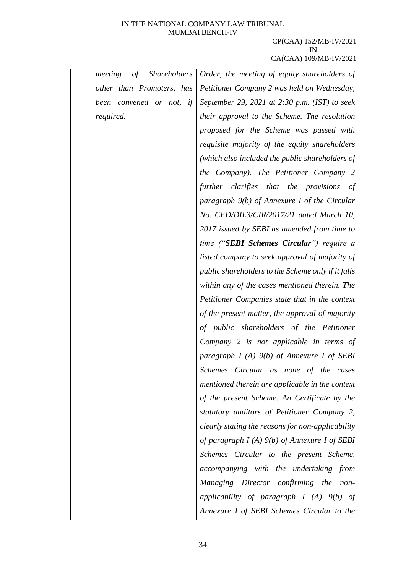| of<br><i>Shareholders</i><br>meeting | Order, the meeting of equity shareholders of       |
|--------------------------------------|----------------------------------------------------|
| other than Promoters, has            | Petitioner Company 2 was held on Wednesday,        |
| been convened or not, if             | September 29, 2021 at $2:30$ p.m. (IST) to seek    |
| required.                            | their approval to the Scheme. The resolution       |
|                                      | proposed for the Scheme was passed with            |
|                                      | requisite majority of the equity shareholders      |
|                                      | (which also included the public shareholders of    |
|                                      | the Company). The Petitioner Company 2             |
|                                      | further clarifies that the provisions of           |
|                                      | paragraph $9(b)$ of Annexure I of the Circular     |
|                                      | No. CFD/DIL3/CIR/2017/21 dated March 10,           |
|                                      | 2017 issued by SEBI as amended from time to        |
|                                      | time ("SEBI Schemes Circular") require a           |
|                                      | listed company to seek approval of majority of     |
|                                      | public shareholders to the Scheme only if it falls |
|                                      | within any of the cases mentioned therein. The     |
|                                      | Petitioner Companies state that in the context     |
|                                      | of the present matter, the approval of majority    |
|                                      | of public shareholders of the Petitioner           |
|                                      | Company 2 is not applicable in terms of            |
|                                      | paragraph $I(A)$ $9(b)$ of Annexure I of SEBI      |
|                                      | Schemes Circular as none of the cases              |
|                                      | mentioned therein are applicable in the context    |
|                                      | of the present Scheme. An Certificate by the       |
|                                      | statutory auditors of Petitioner Company 2,        |
|                                      | clearly stating the reasons for non-applicability  |
|                                      | of paragraph $I(A)$ $9(b)$ of Annexure I of SEBI   |
|                                      | Schemes Circular to the present Scheme,            |
|                                      | accompanying with the undertaking from             |
|                                      | Managing Director confirming the non-              |
|                                      | applicability of paragraph $I(A)$ $9(b)$ of        |
|                                      | Annexure I of SEBI Schemes Circular to the         |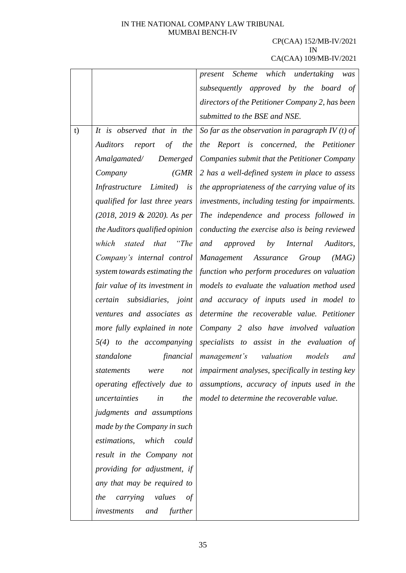# CP(CAA) 152/MB-IV/2021 IN

|    |                                                | Scheme which undertaking<br>present<br>was                    |
|----|------------------------------------------------|---------------------------------------------------------------|
|    |                                                | subsequently approved by the board of                         |
|    |                                                | directors of the Petitioner Company 2, has been               |
|    |                                                | submitted to the BSE and NSE.                                 |
| t) | It is observed that in the                     | So far as the observation in paragraph $IV(t)$ of             |
|    | <i>Auditors</i><br>$\sigma f$<br>the<br>report | the Report is concerned, the Petitioner                       |
|    | Demerged<br>Amalgamated/                       | Companies submit that the Petitioner Company                  |
|    | (GMR)<br>Company                               | 2 has a well-defined system in place to assess                |
|    | Infrastructure Limited) is                     | the appropriateness of the carrying value of its              |
|    | qualified for last three years                 | investments, including testing for impairments.               |
|    | (2018, 2019 & 2020). As per                    | The independence and process followed in                      |
|    | the Auditors qualified opinion                 | conducting the exercise also is being reviewed                |
|    | which stated that "The                         | and<br>by<br><i>Internal</i><br>approved<br>Auditors,         |
|    | Company's internal control                     | Management Assurance<br>Group<br>(MAG)                        |
|    | system towards estimating the                  | function who perform procedures on valuation                  |
|    | fair value of its investment in                | models to evaluate the valuation method used                  |
|    | certain<br>subsidiaries, joint                 | and accuracy of inputs used in model to                       |
|    | ventures and associates as                     | determine the recoverable value. Petitioner                   |
|    | more fully explained in note                   | Company 2 also have involved valuation                        |
|    | $5(4)$ to the accompanying                     | specialists to assist in the evaluation of                    |
|    | standalone<br>financial                        | valuation<br>models<br>management's<br>and                    |
|    | statements                                     | $were$ not   impairment analyses, specifically in testing key |
|    | operating effectively due to                   | assumptions, accuracy of inputs used in the                   |
|    | uncertainties<br>in<br>the                     | model to determine the recoverable value.                     |
|    | judgments and assumptions                      |                                                               |
|    | made by the Company in such                    |                                                               |
|    | estimations,<br>which<br>could                 |                                                               |
|    | result in the Company not                      |                                                               |
|    | providing for adjustment, if                   |                                                               |
|    | any that may be required to                    |                                                               |
|    | carrying<br>values<br>the<br>$\sigma f$        |                                                               |
|    | further<br>and<br>investments                  |                                                               |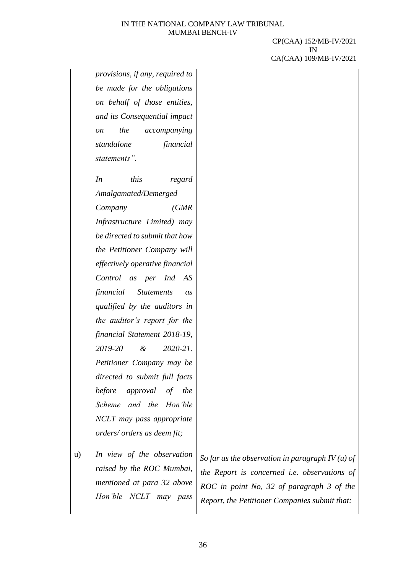|              | provisions, if any, required to             |                                                    |
|--------------|---------------------------------------------|----------------------------------------------------|
|              | be made for the obligations                 |                                                    |
|              | on behalf of those entities,                |                                                    |
|              | and its Consequential impact                |                                                    |
|              | the<br>accompanying<br><sub>on</sub>        |                                                    |
|              | standalone<br>financial                     |                                                    |
|              | statements".                                |                                                    |
|              |                                             |                                                    |
|              | this<br>In<br>regard                        |                                                    |
|              | Amalgamated/Demerged                        |                                                    |
|              | Company<br>(GMR)                            |                                                    |
|              | Infrastructure Limited) may                 |                                                    |
|              | be directed to submit that how              |                                                    |
|              | the Petitioner Company will                 |                                                    |
|              | effectively operative financial             |                                                    |
|              | Control as per Ind AS                       |                                                    |
|              | financial<br><b>Statements</b><br><i>as</i> |                                                    |
|              | qualified by the auditors in                |                                                    |
|              | the auditor's report for the                |                                                    |
|              | financial Statement 2018-19,                |                                                    |
|              | 2019-20<br>$\alpha$<br>$2020 - 21$ .        |                                                    |
|              | Petitioner Company may be                   |                                                    |
|              | directed to submit full facts               |                                                    |
|              | before<br>approval of the                   |                                                    |
|              | Scheme and the Hon'ble                      |                                                    |
|              | NCLT may pass appropriate                   |                                                    |
|              | orders/ orders as deem fit;                 |                                                    |
|              |                                             |                                                    |
| $\mathbf{u}$ | In view of the observation                  | So far as the observation in paragraph IV $(u)$ of |
|              | raised by the ROC Mumbai,                   | the Report is concerned i.e. observations of       |
|              | mentioned at para 32 above                  | ROC in point No, 32 of paragraph 3 of the          |
|              | Hon'ble NCLT may pass                       | Report, the Petitioner Companies submit that:      |
|              |                                             |                                                    |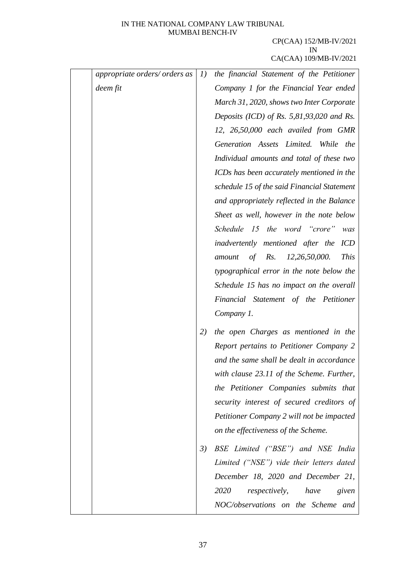| appropriate orders/ orders as | I) | the financial Statement of the Petitioner          |
|-------------------------------|----|----------------------------------------------------|
| deem fit                      |    | Company 1 for the Financial Year ended             |
|                               |    | March 31, 2020, shows two Inter Corporate          |
|                               |    | Deposits (ICD) of Rs. $5,81,93,020$ and Rs.        |
|                               |    | 12, 26,50,000 each availed from GMR                |
|                               |    | Generation Assets Limited. While the               |
|                               |    | Individual amounts and total of these two          |
|                               |    | ICDs has been accurately mentioned in the          |
|                               |    | schedule 15 of the said Financial Statement        |
|                               |    | and appropriately reflected in the Balance         |
|                               |    | Sheet as well, however in the note below           |
|                               |    | Schedule 15 the word "crore"<br>was                |
|                               |    | inadvertently mentioned after the<br>ICD           |
|                               |    | of $Rs.$<br>12,26,50,000.<br><b>This</b><br>amount |
|                               |    | typographical error in the note below the          |
|                               |    | Schedule 15 has no impact on the overall           |
|                               |    | Financial Statement of the Petitioner              |
|                               |    | Company 1.                                         |
|                               | 2) | the open Charges as mentioned in the               |
|                               |    | Report pertains to Petitioner Company 2            |
|                               |    | and the same shall be dealt in accordance          |
|                               |    | with clause 23.11 of the Scheme. Further,          |
|                               |    | the Petitioner Companies submits that              |
|                               |    | security interest of secured creditors of          |
|                               |    | Petitioner Company 2 will not be impacted          |
|                               |    | on the effectiveness of the Scheme.                |
|                               | 3) | BSE Limited ("BSE") and NSE India                  |
|                               |    | Limited ("NSE") vide their letters dated           |
|                               |    | December 18, 2020 and December 21,                 |
|                               |    | 2020<br><i>respectively,</i><br>have<br>given      |
|                               |    | NOC/observations on the Scheme and                 |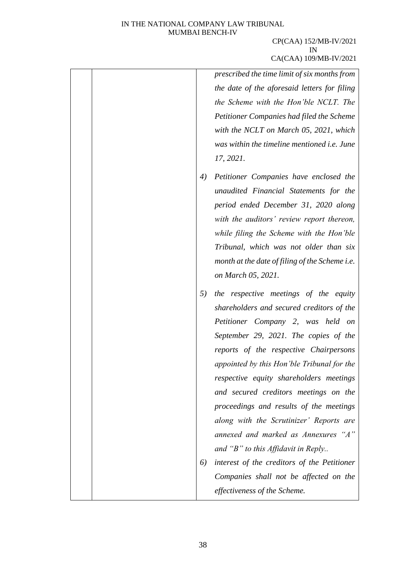## CP(CAA) 152/MB-IV/2021 IN CA(CAA) 109/MB-IV/2021

*prescribed the time limit of six months from the date of the aforesaid letters for filing the Scheme with the Hon'ble NCLT. The Petitioner Companies had filed the Scheme with the NCLT on March 05, 2021, which was within the timeline mentioned i.e. June 17, 2021.* 

- *4) Petitioner Companies have enclosed the unaudited Financial Statements for the period ended December 31, 2020 along with the auditors' review report thereon, while filing the Scheme with the Hon'ble Tribunal, which was not older than six month at the date of filing of the Scheme i.e. on March 05, 2021.*
- *5) the respective meetings of the equity shareholders and secured creditors of the Petitioner Company 2, was held on September 29, 2021. The copies of the reports of the respective Chairpersons appointed by this Hon'ble Tribunal for the respective equity shareholders meetings and secured creditors meetings on the proceedings and results of the meetings along with the Scrutinizer' Reports are annexed and marked as Annexures "A" and "B" to this Affidavit in Reply.. 6) interest of the creditors of the Petitioner*
	- *Companies shall not be affected on the effectiveness of the Scheme.*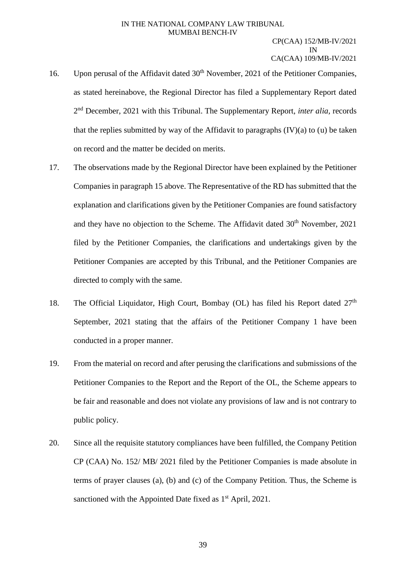- 16. Upon perusal of the Affidavit dated 30<sup>th</sup> November, 2021 of the Petitioner Companies, as stated hereinabove, the Regional Director has filed a Supplementary Report dated 2 nd December, 2021 with this Tribunal. The Supplementary Report, *inter alia,* records that the replies submitted by way of the Affidavit to paragraphs  $(IV)(a)$  to  $(u)$  be taken on record and the matter be decided on merits.
- 17. The observations made by the Regional Director have been explained by the Petitioner Companies in paragraph 15 above. The Representative of the RD has submitted that the explanation and clarifications given by the Petitioner Companies are found satisfactory and they have no objection to the Scheme. The Affidavit dated  $30<sup>th</sup>$  November, 2021 filed by the Petitioner Companies, the clarifications and undertakings given by the Petitioner Companies are accepted by this Tribunal, and the Petitioner Companies are directed to comply with the same.
- 18. The Official Liquidator, High Court, Bombay (OL) has filed his Report dated  $27<sup>th</sup>$ September, 2021 stating that the affairs of the Petitioner Company 1 have been conducted in a proper manner.
- 19. From the material on record and after perusing the clarifications and submissions of the Petitioner Companies to the Report and the Report of the OL, the Scheme appears to be fair and reasonable and does not violate any provisions of law and is not contrary to public policy.
- 20. Since all the requisite statutory compliances have been fulfilled, the Company Petition CP (CAA) No. 152/ MB/ 2021 filed by the Petitioner Companies is made absolute in terms of prayer clauses (a), (b) and (c) of the Company Petition. Thus, the Scheme is sanctioned with the Appointed Date fixed as 1<sup>st</sup> April, 2021.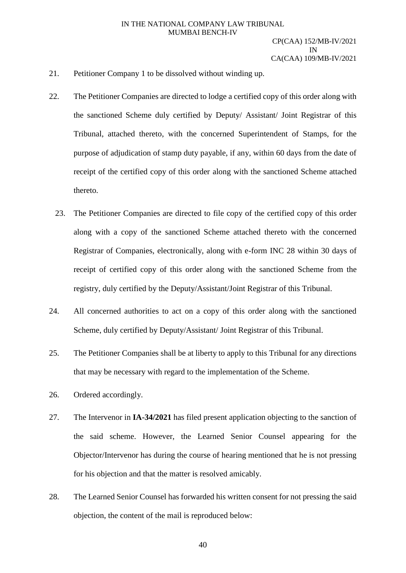- 21. Petitioner Company 1 to be dissolved without winding up.
- 22. The Petitioner Companies are directed to lodge a certified copy of this order along with the sanctioned Scheme duly certified by Deputy/ Assistant/ Joint Registrar of this Tribunal, attached thereto, with the concerned Superintendent of Stamps, for the purpose of adjudication of stamp duty payable, if any, within 60 days from the date of receipt of the certified copy of this order along with the sanctioned Scheme attached thereto.
	- 23. The Petitioner Companies are directed to file copy of the certified copy of this order along with a copy of the sanctioned Scheme attached thereto with the concerned Registrar of Companies, electronically, along with e-form INC 28 within 30 days of receipt of certified copy of this order along with the sanctioned Scheme from the registry, duly certified by the Deputy/Assistant/Joint Registrar of this Tribunal.
- 24. All concerned authorities to act on a copy of this order along with the sanctioned Scheme, duly certified by Deputy/Assistant/ Joint Registrar of this Tribunal.
- 25. The Petitioner Companies shall be at liberty to apply to this Tribunal for any directions that may be necessary with regard to the implementation of the Scheme.
- 26. Ordered accordingly.
- 27. The Intervenor in **IA-34/2021** has filed present application objecting to the sanction of the said scheme. However, the Learned Senior Counsel appearing for the Objector/Intervenor has during the course of hearing mentioned that he is not pressing for his objection and that the matter is resolved amicably.
- 28. The Learned Senior Counsel has forwarded his written consent for not pressing the said objection, the content of the mail is reproduced below: